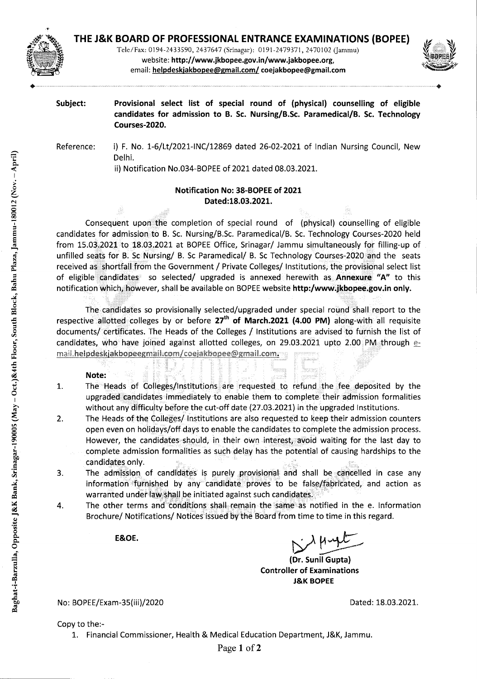

Tele/Fax: 0194-2433590, 2437647 (Srinagar): 0191-2479371, 2470102 (Jammu) website: **http://www.jkbopee.gov.in/www.jakbopee.org,**  email: **helpdeskjakbopee@gmail.com! coejakbopee@gmail.com** 



**Subject: Provisional select list of special round of (physical) counselling of eligible candidates for admission to B. Sc. Nursing/B.Sc. Paramedical/B. Sc. Technology Courses-2020.** 

Reference: i) F. No. 1-6/Lt/2021-INC/12869 dated 26-02-2021 of Indian Nursing Council, New Delhi.

ii) Notification No.034-BOPEE of 2021 dated 08.03.2021.

# **Notification No: 38-BOPEE of 2021 Dated:18.03.2021.**

Consequent upon the completion of special round of (physical) counselling of eligible candidates for admission to B. Sc. Nursing/B.Sc. Paramedical/B. Sc. Technology Courses-2020 held from 15.03.2021 to 18.03.2021 at BOPEE Office, Srinagar/ Jammu simultaneously for filling-up of unfilled seats for B. Sc Nursing/ B. Sc Paramedical/ B. Sc Technology Courses-2020 and the seats received as shortfall from the Government / Private Colleges/ Institutions, the provisional select list of eligible candidates so selected/ upgraded is annexed herewith as **Annexure "A"** to this notification which, however, shall be available on BOPEE website **http:/www.jkbopee.gov.inonly.** 

The candidates so provisionally selected/upgraded under special round shall report to the respective allotted colleges by or before 27<sup>th</sup> of March.2021 (4.00 PM) along-with all requisite documents/ certificates. The Heads of the Colleges / Institutions are advised to furnish the list of candidates, who have joined against allotted colleges, on 29.03.2021 upto 2.00 PM through  $e$ mail.helpdeskjakbopeegmail.com/coejakbopee@gmail.com.

# **Note:**

- $\mathbf{1}$ . The Heads of Colleges/Institutions are requested to refund the fee deposited by the upgraded candidates immediately to enable them to complete their admission formalities without any difficulty before the cut-off date (27.03.2021) in the upgraded Institutions.
- 2. The Heads of the Colleges/ Institutions are also requested to keep their admission counters open even on holidays/off days to enable the candidates to complete the admission process. However, the candidates should, in their own interest, avoid waiting for the last day to complete admission formalities as such delay has the potential of causing hardships to the candidates only.
- The admission of candidates is purely provisional and shall be cancelled in case any 3. information furnished by any candidate proves to be false/fabricated, and action as warranted under law shall be initiated against such candidates.
- The other terms and conditions shall remain the same as notified in the e. Information 4. Brochure/ Notifications/ Notices issued by the Board from time to time in this regard.

E&OE.

**(Dr. Sunil Gupta) Controller of Examinations J&K BOPEE** 

No: BOPEE/Exam-35(iii)/2020 **Dated: 18.03.2021.** 

Copy to the:-

1. Financial Commissioner, Health & Medical Education Department, J&K, Jammu.

Page 1 of 2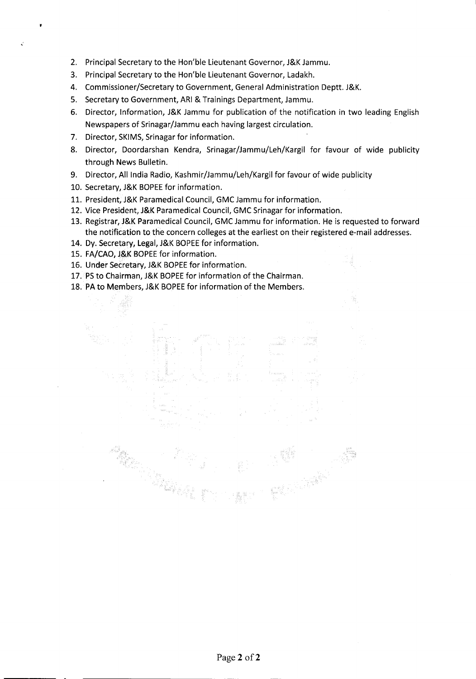- 2. Principal Secretary to the Hon'ble Lieutenant Governor, J&K Jammu.
- 3. Principal Secretary to the Hon'ble Lieutenant Governor, Ladakh.
- 4. Commissioner/Secretary to Government, General Administration Deptt. J&K.
- 5. Secretary to Government, ARI & Trainings Department, Jammu.
- 6. Director, Information, J&K Jammu for publication of the notification in two leading English Newspapers of Srinagar/Jammu each having largest circulation.
- 7. Director, SKIMS, Srinagar for information.

f

- 8. Director, Doordarshan Kendra, Srinagar/Jammu/Leh/Kargil for favour of wide publicity through News Bulletin.
- 9. Director, All India Radio, Kashmir/Jammu/Leh/Kargil for favour of wide publicity
- 10. Secretary, J&K BOPEE for information.
- 11. President, J&K Paramedical Council, GMC Jammu for information.
- 12. Vice President, i&K Paramedical Council, GMC Srinagar for information.
- 13. Registrar, J&K Paramedical Council, GMC Jammu for information. He is requested to forward the notification to the concern colleges at the earliest on their registered e-mail addresses.
- 14. Dy. Secretary, Legal, J&K BOPEE for information.
- 15. FA/CAO, J&K BOPEE for information.
- 16. Under Secretary, J&K BOPEE for information.

- 17. PS to Chairman, J&K BOPEE for information of the Chairman.
- 18. PA to Members, J&K BOPEE for information of the Members.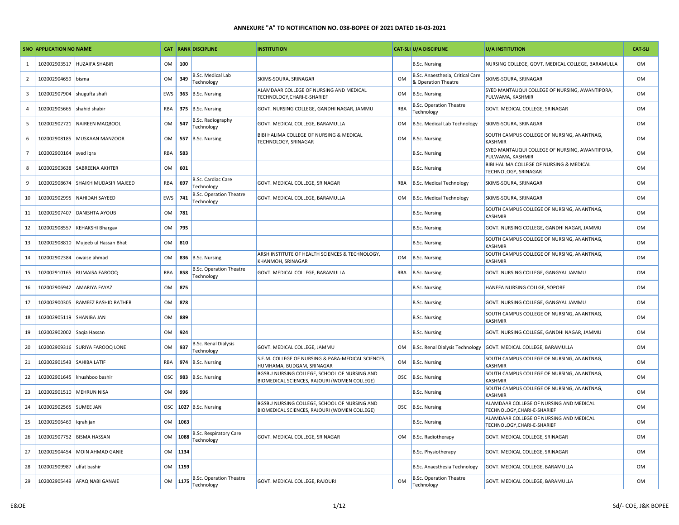|                | <b>SNO APPLICATION NO NAME</b> |                                    |                |      | <b>CAT RANK DISCIPLINE</b>                   | <b>INSTITUTION</b>                                                                           |            | <b>CAT-SLI U/A DISCIPLINE</b>                           | U/A INSTITUTION                                                        | <b>CAT-SLI</b> |
|----------------|--------------------------------|------------------------------------|----------------|------|----------------------------------------------|----------------------------------------------------------------------------------------------|------------|---------------------------------------------------------|------------------------------------------------------------------------|----------------|
| 1              | 102002903517                   | <b>HUZAIFA SHABIR</b>              | <b>OM</b>      | 100  |                                              |                                                                                              |            | <b>B.Sc. Nursing</b>                                    | NURSING COLLEGE, GOVT. MEDICAL COLLEGE, BARAMULLA                      | OM             |
| $\overline{2}$ | 102002904659                   | bisma                              | <b>OM</b>      | 349  | <b>B.Sc. Medical Lab</b><br>Technology       | SKIMS-SOURA, SRINAGAR                                                                        | OM         | B.Sc. Anaesthesia, Critical Care<br>& Operation Theatre | SKIMS-SOURA, SRINAGAR                                                  | OM             |
| 3              | 102002907904                   | shugufta shafi                     | EWS            | 363  | B.Sc. Nursing                                | ALAMDAAR COLLEGE OF NURSING AND MEDICAL<br>TECHNOLOGY, CHARI-E-SHARIEF                       | OM         | B.Sc. Nursing                                           | SYED MANTAUQUI COLLEGE OF NURSING, AWANTIPORA,<br>PULWAMA, KASHMIR     | <b>OM</b>      |
| $\overline{4}$ | 102002905665                   | shahid shabir                      | RBA            | 375  | <b>B.Sc. Nursing</b>                         | GOVT. NURSING COLLEGE, GANDHI NAGAR, JAMMU                                                   | RBA        | <b>B.Sc. Operation Theatre</b><br>Technology            | GOVT. MEDICAL COLLEGE, SRINAGAR                                        | OM             |
| -5             | 102002902721                   | NAIREEN MAQBOOL                    | <b>OM</b>      | 547  | <b>B.Sc. Radiography</b><br>Technology       | GOVT. MEDICAL COLLEGE, BARAMULLA                                                             | OM         | <b>B.Sc. Medical Lab Technology</b>                     | SKIMS-SOURA, SRINAGAR                                                  | OM             |
| 6              | 102002908185                   | MUSKAAN MANZOOR                    | 0 <sub>M</sub> | 557  | <b>B.Sc. Nursing</b>                         | BIBI HALIMA COLLEGE OF NURSING & MEDICAL<br>TECHNOLOGY, SRINAGAR                             | OM         | B.Sc. Nursing                                           | SOUTH CAMPUS COLLEGE OF NURSING, ANANTNAG,<br>KASHMIR                  | OM             |
| $\overline{7}$ | 102002900164                   | syed igra                          | RBA            | 583  |                                              |                                                                                              |            | <b>B.Sc. Nursing</b>                                    | SYED MANTAUQUI COLLEGE OF NURSING, AWANTIPORA,<br>PULWAMA, KASHMIR     | OM             |
| 8              | 102002903638                   | <b>SABREENA AKHTER</b>             | <b>OM</b>      | 601  |                                              |                                                                                              |            | B.Sc. Nursing                                           | BIBI HALIMA COLLEGE OF NURSING & MEDICAL<br>TECHNOLOGY, SRINAGAR       | <b>OM</b>      |
| 9              | 102002908674                   | <b>SHAIKH MUDASIR MAJEED</b>       | RBA            | 697  | <b>B.Sc. Cardiac Care</b><br>Technology      | GOVT. MEDICAL COLLEGE, SRINAGAR                                                              | RBA        | <b>B.Sc. Medical Technology</b>                         | SKIMS-SOURA, SRINAGAR                                                  | OM             |
| 10             | 102002902995                   | NAHIDAH SAYEED                     | EWS            | 741  | <b>B.Sc. Operation Theatre</b><br>Technology | GOVT. MEDICAL COLLEGE, BARAMULLA                                                             | OM         | <b>B.Sc. Medical Technology</b>                         | SKIMS-SOURA, SRINAGAR                                                  | OM             |
| 11             | 102002907407                   | <b>DANISHTA AYOUB</b>              | OM             | 781  |                                              |                                                                                              |            | <b>B.Sc. Nursing</b>                                    | SOUTH CAMPUS COLLEGE OF NURSING, ANANTNAG,<br><b>KASHMIR</b>           | OM             |
| 12             | 102002908557                   | <b>KEHAKSHI Bhargav</b>            | <b>OM</b>      | 795  |                                              |                                                                                              |            | <b>B.Sc. Nursing</b>                                    | GOVT. NURSING COLLEGE, GANDHI NAGAR, JAMMU                             | OM             |
| 13             |                                | 102002908810 Mujeeb ul Hassan Bhat | <b>OM</b>      | 810  |                                              |                                                                                              |            | <b>B.Sc. Nursing</b>                                    | SOUTH CAMPUS COLLEGE OF NURSING, ANANTNAG,<br>KASHMIR                  | OM             |
| 14             | 102002902384                   | owaise ahmad                       | OM             | 836  | <b>B.Sc. Nursing</b>                         | ARSH INSTITUTE OF HEALTH SCIENCES & TECHNOLOGY,<br>KHANMOH, SRINAGAR                         | OM         | <b>B.Sc. Nursing</b>                                    | SOUTH CAMPUS COLLEGE OF NURSING, ANANTNAG,<br><b>KASHMIR</b>           | OM             |
| 15             | 102002910165                   | <b>RUMAISA FAROOQ</b>              | RBA            | 858  | <b>B.Sc. Operation Theatre</b><br>Technology | GOVT. MEDICAL COLLEGE, BARAMULLA                                                             | RBA        | <b>B.Sc. Nursing</b>                                    | GOVT. NURSING COLLEGE, GANGYAL JAMMU                                   | OM             |
| 16             | 102002906942                   | <b>AMARIYA FAYAZ</b>               | <b>OM</b>      | 875  |                                              |                                                                                              |            | B.Sc. Nursing                                           | HANEFA NURSING COLLGE, SOPORE                                          | OM             |
| 17             | 102002900305                   | RAMEEZ RASHID RATHER               | OM             | 878  |                                              |                                                                                              |            | <b>B.Sc. Nursing</b>                                    | GOVT. NURSING COLLEGE, GANGYAL JAMMU                                   | OM             |
| 18             | 102002905119 SHANIBA JAN       |                                    | <b>OM</b>      | 889  |                                              |                                                                                              |            | <b>B.Sc. Nursing</b>                                    | SOUTH CAMPUS COLLEGE OF NURSING, ANANTNAG,<br><b>KASHMIR</b>           | OM             |
| 19             | 102002902002 Saqia Hassan      |                                    | OM             | 924  |                                              |                                                                                              |            | <b>B.Sc. Nursing</b>                                    | GOVT. NURSING COLLEGE, GANDHI NAGAR, JAMMU                             | <b>OM</b>      |
| 20             | 102002909316                   | <b>SURIYA FAROOQ LONE</b>          | OM             | 937  | <b>B.Sc. Renal Dialysis</b><br>Technology    | GOVT. MEDICAL COLLEGE, JAMMU                                                                 | OM         | B.Sc. Renal Dialysis Technology                         | GOVT. MEDICAL COLLEGE, BARAMULLA                                       | OM             |
| 21             | 102002901543                   | <b>SAHIBA LATIF</b>                | RBA            | 974  | <b>B.Sc. Nursing</b>                         | S.E.M. COLLEGE OF NURSING & PARA-MEDICAL SCIENCES,<br>HUMHAMA, BUDGAM, SRINAGAR              | OM         | <b>B.Sc. Nursing</b>                                    | SOUTH CAMPUS COLLEGE OF NURSING, ANANTNAG,<br><b>KASHMIR</b>           | OM             |
| 22             |                                | 102002901645 khushboo bashir       | OSC            | 983  | <b>B.Sc. Nursing</b>                         | BGSBU NURSING COLLEGE, SCHOOL OF NURSING AND<br>BIOMEDICAL SCIENCES, RAJOURI (WOMEN COLLEGE) | <b>OSC</b> | B.Sc. Nursing                                           | SOUTH CAMPUS COLLEGE OF NURSING, ANANTNAG,<br><b>KASHMIR</b>           | OM             |
| 23             | 102002901510 MEHRUN NISA       |                                    | OM             | 996  |                                              |                                                                                              |            | <b>B.Sc. Nursing</b>                                    | SOUTH CAMPUS COLLEGE OF NURSING, ANANTNAG,<br><b>KASHMIR</b>           | OM             |
| 24             | 102002902565                   | <b>SUMEE JAN</b>                   | <b>OSC</b>     | 1027 | <b>B.Sc. Nursing</b>                         | BGSBU NURSING COLLEGE, SCHOOL OF NURSING AND<br>BIOMEDICAL SCIENCES, RAJOURI (WOMEN COLLEGE) | <b>OSC</b> | B.Sc. Nursing                                           | ALAMDAAR COLLEGE OF NURSING AND MEDICAL<br>TECHNOLOGY, CHARI-E-SHARIEF | OM             |
| 25             | 102002906469                   | Iqrah jan                          | OM             | 1063 |                                              |                                                                                              |            | <b>B.Sc. Nursing</b>                                    | ALAMDAAR COLLEGE OF NURSING AND MEDICAL<br>TECHNOLOGY, CHARI-E-SHARIEF | OM             |
| 26             | 102002907752                   | <b>BISMA HASSAN</b>                | <b>OM</b>      | 1088 | B.Sc. Respiratory Care<br>Technology         | GOVT. MEDICAL COLLEGE, SRINAGAR                                                              | OM         | B.Sc. Radiotherapy                                      | GOVT. MEDICAL COLLEGE, SRINAGAR                                        | OM             |
| 27             | 102002904454                   | MOIN AHMAD GANIE                   | OM             | 1134 |                                              |                                                                                              |            | <b>B.Sc. Physiotherapy</b>                              | GOVT. MEDICAL COLLEGE, SRINAGAR                                        | <b>OM</b>      |
| 28             | 102002909987                   | ulfat bashir                       | <b>OM</b>      | 1159 |                                              |                                                                                              |            | B.Sc. Anaesthesia Technology                            | GOVT. MEDICAL COLLEGE, BARAMULLA                                       | OM             |
| 29             |                                | 102002905449 AFAQ NABI GANAIE      | <b>OM</b>      | 1175 | <b>B.Sc. Operation Theatre</b><br>Technology | GOVT. MEDICAL COLLEGE, RAJOURI                                                               | <b>OM</b>  | <b>B.Sc. Operation Theatre</b><br>Technology            | GOVT. MEDICAL COLLEGE, BARAMULLA                                       | <b>OM</b>      |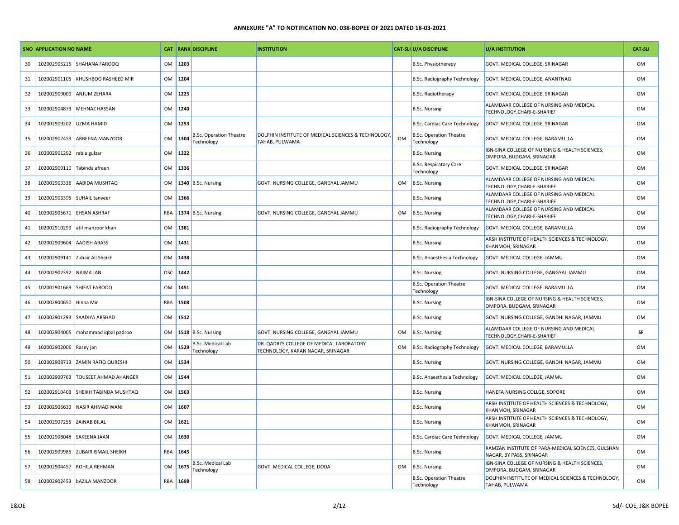|    | <b>SNO APPLICATION NO NAME</b> |                               |           |      | <b>CAT RANK DISCIPLINE</b>                   | <b>INSTITUTION</b>                                                             |           | <b>CAT-SLI U/A DISCIPLINE</b>                | U/A INSTITUTION                                                                | <b>CAT-SLI</b> |
|----|--------------------------------|-------------------------------|-----------|------|----------------------------------------------|--------------------------------------------------------------------------------|-----------|----------------------------------------------|--------------------------------------------------------------------------------|----------------|
| 30 | 102002905215                   | SHAHANA FAROOQ                | <b>OM</b> | 1203 |                                              |                                                                                |           | <b>B.Sc. Physiotherapy</b>                   | GOVT. MEDICAL COLLEGE, SRINAGAR                                                | <b>OM</b>      |
| 31 | 102002901105                   | KHUSHBOO RASHEED MIR          | OM        | 1204 |                                              |                                                                                |           | B.Sc. Radiography Technology                 | GOVT. MEDICAL COLLEGE, ANANTNAG                                                | OM             |
| 32 | 102002909009                   | <b>ANJUM ZEHARA</b>           | <b>OM</b> | 1225 |                                              |                                                                                |           | B.Sc. Radiotherapy                           | GOVT. MEDICAL COLLEGE, SRINAGAR                                                | <b>OM</b>      |
| 33 | 102002904873                   | <b>MEHNAZ HASSAN</b>          | OM        | 1240 |                                              |                                                                                |           | <b>B.Sc. Nursing</b>                         | ALAMDAAR COLLEGE OF NURSING AND MEDICAL<br>TECHNOLOGY, CHARI-E-SHARIEF         | OM             |
| 34 | 102002909202                   | <b>UZMA HAMID</b>             | <b>OM</b> | 1253 |                                              |                                                                                |           | <b>B.Sc. Cardiac Care Technology</b>         | GOVT. MEDICAL COLLEGE, SRINAGAR                                                | <b>OM</b>      |
| 35 | 102002907453                   | <b>ARBEENA MANZOOR</b>        | <b>OM</b> | 1304 | <b>B.Sc. Operation Theatre</b><br>Technology | DOLPHIN INSTITUTE OF MEDICAL SCIENCES & TECHNOLOGY,<br>TAHAB, PULWAMA          | OM        | <b>B.Sc. Operation Theatre</b><br>Technology | GOVT. MEDICAL COLLEGE, BARAMULLA                                               | OM             |
| 36 | 102002901292 rabia gulzar      |                               | <b>OM</b> | 1322 |                                              |                                                                                |           | <b>B.Sc. Nursing</b>                         | IBN-SINA COLLEGE OF NURSING & HEALTH SCIENCES,<br>OMPORA, BUDGAM, SRINAGAR     | <b>OM</b>      |
| 37 | 102002909110 Tabinda afreen    |                               | OM        | 1336 |                                              |                                                                                |           | B.Sc. Respiratory Care<br>Technology         | GOVT. MEDICAL COLLEGE, SRINAGAR                                                | OM             |
| 38 | 102002903336                   | AABIDA MUSHTAQ                | OM        |      | 1340 B.Sc. Nursing                           | GOVT. NURSING COLLEGE, GANGYAL JAMMU                                           | OM        | B.Sc. Nursing                                | ALAMDAAR COLLEGE OF NURSING AND MEDICAL<br>TECHNOLOGY, CHARI-E-SHARIEF         | OM             |
| 39 | 102002903395                   | <b>SUHAIL tanveer</b>         | OM        | 1366 |                                              |                                                                                |           | <b>B.Sc. Nursing</b>                         | ALAMDAAR COLLEGE OF NURSING AND MEDICAL<br>TECHNOLOGY, CHARI-E-SHARIEF         | OM             |
| 40 | 102002905671                   | <b>EHSAN ASHRAF</b>           | RBA       |      | 1374 B.Sc. Nursing                           | GOVT. NURSING COLLEGE, GANGYAL JAMMU                                           | OM        | B.Sc. Nursing                                | ALAMDAAR COLLEGE OF NURSING AND MEDICAL<br>TECHNOLOGY, CHARI-E-SHARIEF         | <b>OM</b>      |
| 41 | 102002910299                   | atif manzoor khan             | OM        | 1381 |                                              |                                                                                |           | B.Sc. Radiography Technology                 | GOVT. MEDICAL COLLEGE, BARAMULLA                                               | OM             |
| 42 | 102002909604                   | <b>AADISH ABASS</b>           | OM        | 1431 |                                              |                                                                                |           | <b>B.Sc. Nursing</b>                         | ARSH INSTITUTE OF HEALTH SCIENCES & TECHNOLOGY,<br>KHANMOH, SRINAGAR           | OM             |
| 43 | 102002909141                   | Zubair Ali Sheikh             | <b>OM</b> | 1438 |                                              |                                                                                |           | B.Sc. Anaesthesia Technology                 | GOVT. MEDICAL COLLEGE, JAMMU                                                   | OM             |
| 44 | 102002902392                   | NAIMA JAN                     | OSC       | 1442 |                                              |                                                                                |           | <b>B.Sc. Nursing</b>                         | GOVT. NURSING COLLEGE, GANGYAL JAMMU                                           | OM             |
| 45 | 102002901669                   | <b>SHIFAT FAROOQ</b>          | OM        | 1451 |                                              |                                                                                |           | <b>B.Sc. Operation Theatre</b><br>Technology | GOVT. MEDICAL COLLEGE, BARAMULLA                                               | OM             |
| 46 | 102002900650                   | Hinna Mir                     | RBA       | 1508 |                                              |                                                                                |           | <b>B.Sc. Nursing</b>                         | IBN-SINA COLLEGE OF NURSING & HEALTH SCIENCES,<br>OMPORA, BUDGAM, SRINAGAR     | OM             |
| 47 | 102002901293                   | <b>SAADIYA ARSHAD</b>         | OM        | 1512 |                                              |                                                                                |           | <b>B.Sc. Nursing</b>                         | GOVT. NURSING COLLEGE, GANDHI NAGAR, JAMMU                                     | OM             |
| 48 | 102002904005                   | mohammad iqbal padroo         | 0M        |      | 1518 B.Sc. Nursing                           | GOVT. NURSING COLLEGE, GANGYAL JAMMU                                           | OM        | B.Sc. Nursing                                | ALAMDAAR COLLEGE OF NURSING AND MEDICAL<br>TECHNOLOGY, CHARI-E-SHARIEF         | SF             |
| 49 | 102002902006                   | Rasey jan                     | OM        | 1529 | <b>B.Sc. Medical Lab</b><br>Technology       | DR. QADRI'S COLLEGE OF MEDICAL LABORATORY<br>TECHNOLOGY, KARAN NAGAR, SRINAGAR | OM        | B.Sc. Radiography Technology                 | GOVT. MEDICAL COLLEGE, BARAMULLA                                               | OM             |
| 50 | 102002908713                   | <b>ZAMIN RAFIQ QURESHI</b>    | OM        | 1534 |                                              |                                                                                |           | <b>B.Sc. Nursing</b>                         | GOVT. NURSING COLLEGE, GANDHI NAGAR, JAMMU                                     | OM             |
| 51 | 102002909763                   | <b>TOUSEEF AHMAD AHANGER</b>  | OM        | 1544 |                                              |                                                                                |           | <b>B.Sc. Anaesthesia Technology</b>          | GOVT. MEDICAL COLLEGE, JAMMU                                                   | OM             |
| 52 | 102002910403                   | <b>SHEIKH TABINDA MUSHTAQ</b> | OM        | 1563 |                                              |                                                                                |           | <b>B.Sc. Nursing</b>                         | HANEFA NURSING COLLGE, SOPORE                                                  | OM             |
| 53 | 102002906639                   | NASIR AHMAD WANI              | OM        | 1607 |                                              |                                                                                |           | <b>B.Sc. Nursing</b>                         | ARSH INSTITUTE OF HEALTH SCIENCES & TECHNOLOGY,<br>KHANMOH, SRINAGAR           | OM             |
| 54 | 102002907255                   | <b>ZAINAB BILAL</b>           | OM        | 1621 |                                              |                                                                                |           | <b>B.Sc. Nursing</b>                         | ARSH INSTITUTE OF HEALTH SCIENCES & TECHNOLOGY,<br>KHANMOH, SRINAGAR           | OM             |
| 55 | 102002908048                   | <b>SAKEENA JAAN</b>           | OM        | 1630 |                                              |                                                                                |           | <b>B.Sc. Cardiac Care Technology</b>         | GOVT. MEDICAL COLLEGE, JAMMU                                                   | <b>OM</b>      |
| 56 | 102002909985                   | <b>ZUBAIR ISMAIL SHEIKH</b>   | RBA       | 1645 |                                              |                                                                                |           | <b>B.Sc. Nursing</b>                         | RAMZAN INSTITUTE OF PARA-MEDICAL SCIENCES, GULSHAN<br>NAGAR, BY PASS, SRINAGAR | OM             |
| 57 | 102002904457                   | <b>ROHILA REHMAN</b>          | OM        | 1675 | B.Sc. Medical Lab<br>Technology              | GOVT. MEDICAL COLLEGE, DODA                                                    | <b>OM</b> | B.Sc. Nursing                                | IBN-SINA COLLEGE OF NURSING & HEALTH SCIENCES,<br>OMPORA, BUDGAM, SRINAGAR     | <b>OM</b>      |
| 58 | 102002902453                   | bAZILA MANZOOR                | RBA       | 1698 |                                              |                                                                                |           | <b>B.Sc. Operation Theatre</b><br>Technology | DOLPHIN INSTITUTE OF MEDICAL SCIENCES & TECHNOLOGY,<br>TAHAB, PULWAMA          | <b>OM</b>      |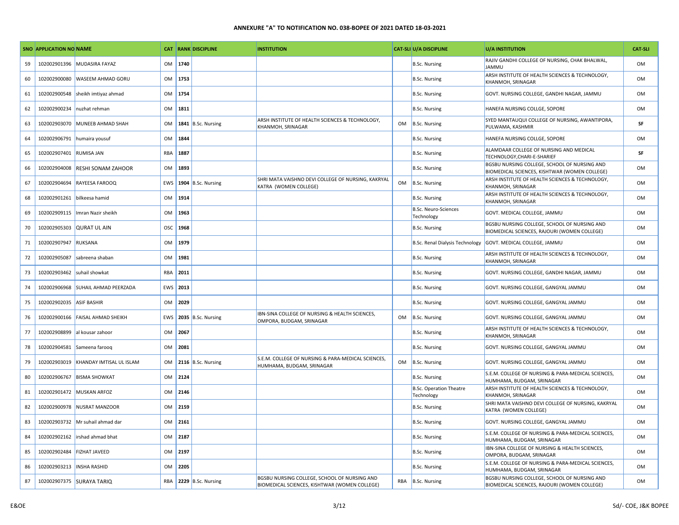|    | <b>SNO APPLICATION NO NAME</b> |                              |           |          | <b>CAT RANK DISCIPLINE</b> | <b>INSTITUTION</b>                                                                            |           | <b>CAT-SLI U/A DISCIPLINE</b>                | <b>U/A INSTITUTION</b>                                                                        | <b>CAT-SLI</b> |
|----|--------------------------------|------------------------------|-----------|----------|----------------------------|-----------------------------------------------------------------------------------------------|-----------|----------------------------------------------|-----------------------------------------------------------------------------------------------|----------------|
| 59 | 102002901396                   | <b>MUDASIRA FAYAZ</b>        | <b>OM</b> | 1740     |                            |                                                                                               |           | <b>B.Sc. Nursing</b>                         | RAJIV GANDHI COLLEGE OF NURSING, CHAK BHALWAL,<br>JAMMU                                       | OM             |
| 60 | 102002900080                   | <b>WASEEM AHMAD GORU</b>     | <b>OM</b> | 1753     |                            |                                                                                               |           | <b>B.Sc. Nursing</b>                         | ARSH INSTITUTE OF HEALTH SCIENCES & TECHNOLOGY,<br>KHANMOH, SRINAGAR                          | OM             |
| 61 | 102002900548                   | sheikh imtiyaz ahmad         | <b>OM</b> | 1754     |                            |                                                                                               |           | <b>B.Sc. Nursing</b>                         | GOVT. NURSING COLLEGE, GANDHI NAGAR, JAMMU                                                    | OM             |
| 62 | 102002900234                   | nuzhat rehman                | OM        | 1811     |                            |                                                                                               |           | <b>B.Sc. Nursing</b>                         | HANEFA NURSING COLLGE, SOPORE                                                                 | OM             |
| 63 | 102002903070                   | MUNEEB AHMAD SHAH            | <b>OM</b> |          | 1841 B.Sc. Nursing         | ARSH INSTITUTE OF HEALTH SCIENCES & TECHNOLOGY,<br>KHANMOH, SRINAGAR                          | OM        | B.Sc. Nursing                                | SYED MANTAUQUI COLLEGE OF NURSING, AWANTIPORA,<br>PULWAMA, KASHMIR                            | SF             |
| 64 | 102002906791                   | humaira yousuf               | <b>OM</b> | 1844     |                            |                                                                                               |           | <b>B.Sc. Nursing</b>                         | HANEFA NURSING COLLGE, SOPORE                                                                 | OM             |
| 65 | 102002907401                   | <b>RUMISA JAN</b>            | RBA       | 1887     |                            |                                                                                               |           | <b>B.Sc. Nursing</b>                         | ALAMDAAR COLLEGE OF NURSING AND MEDICAL<br>TECHNOLOGY, CHARI-E-SHARIEF                        | SF             |
| 66 | 102002904008                   | <b>RESHI SONAM ZAHOOR</b>    | <b>OM</b> | 1893     |                            |                                                                                               |           | <b>B.Sc. Nursing</b>                         | BGSBU NURSING COLLEGE, SCHOOL OF NURSING AND<br>BIOMEDICAL SCIENCES, KISHTWAR (WOMEN COLLEGE) | OM             |
| 67 | 102002904694                   | <b>RAYEESA FAROOQ</b>        | EWS       |          | 1904 B.Sc. Nursing         | SHRI MATA VAISHNO DEVI COLLEGE OF NURSING, KAKRYAL<br>KATRA (WOMEN COLLEGE)                   | OM        | B.Sc. Nursing                                | ARSH INSTITUTE OF HEALTH SCIENCES & TECHNOLOGY,<br>KHANMOH, SRINAGAR                          | OM             |
| 68 | 102002901261                   | bilkeesa hamid               | <b>OM</b> | 1914     |                            |                                                                                               |           | <b>B.Sc. Nursing</b>                         | ARSH INSTITUTE OF HEALTH SCIENCES & TECHNOLOGY,<br>KHANMOH, SRINAGAR                          | OM             |
| 69 | 102002909115                   | Imran Nazir sheikh           | 0M        | 1963     |                            |                                                                                               |           | <b>B.Sc. Neuro-Sciences</b><br>Technology    | GOVT. MEDICAL COLLEGE, JAMMU                                                                  | <b>OM</b>      |
| 70 | 102002905303                   | <b>QURAT UL AIN</b>          | OSC       | 1968     |                            |                                                                                               |           | <b>B.Sc. Nursing</b>                         | BGSBU NURSING COLLEGE, SCHOOL OF NURSING AND<br>BIOMEDICAL SCIENCES, RAJOURI (WOMEN COLLEGE)  | OM             |
| 71 | 102002907947                   | <b>RUKSANA</b>               | OM        | 1979     |                            |                                                                                               |           | <b>B.Sc. Renal Dialysis Technology</b>       | GOVT. MEDICAL COLLEGE, JAMMU                                                                  | OM             |
| 72 | 102002905087                   | sabreena shaban              | <b>OM</b> | 1981     |                            |                                                                                               |           | <b>B.Sc. Nursing</b>                         | ARSH INSTITUTE OF HEALTH SCIENCES & TECHNOLOGY,<br>KHANMOH, SRINAGAR                          | OM             |
| 73 | 102002903462                   | suhail showkat               | RBA       | 2011     |                            |                                                                                               |           | <b>B.Sc. Nursing</b>                         | GOVT. NURSING COLLEGE, GANDHI NAGAR, JAMMU                                                    | OM             |
| 74 | 102002906968                   | <b>SUHAIL AHMAD PEERZADA</b> |           | EWS 2013 |                            |                                                                                               |           | <b>B.Sc. Nursing</b>                         | GOVT. NURSING COLLEGE, GANGYAL JAMMU                                                          | <b>OM</b>      |
| 75 | 102002902035                   | <b>ASIF BASHIR</b>           | OM        | 2029     |                            |                                                                                               |           | <b>B.Sc. Nursing</b>                         | GOVT. NURSING COLLEGE, GANGYAL JAMMU                                                          | OM             |
| 76 | 102002900166                   | <b>FAISAL AHMAD SHEIKH</b>   | EWS       |          | 2035 B.Sc. Nursing         | IBN-SINA COLLEGE OF NURSING & HEALTH SCIENCES,<br>OMPORA, BUDGAM, SRINAGAR                    | <b>OM</b> | B.Sc. Nursing                                | GOVT. NURSING COLLEGE, GANGYAL JAMMU                                                          | <b>OM</b>      |
| 77 | 102002908899                   | al kousar zahoor             | OM        | 2067     |                            |                                                                                               |           | <b>B.Sc. Nursing</b>                         | ARSH INSTITUTE OF HEALTH SCIENCES & TECHNOLOGY,<br>KHANMOH, SRINAGAR                          | OM             |
| 78 | 102002904581                   | Sameena faroog               | <b>OM</b> | 2081     |                            |                                                                                               |           | <b>B.Sc. Nursing</b>                         | GOVT. NURSING COLLEGE, GANGYAL JAMMU                                                          | <b>OM</b>      |
| 79 | 102002903019                   | KHANDAY IMTISAL UL ISLAM     | OM        |          | 2116 B.Sc. Nursing         | S.E.M. COLLEGE OF NURSING & PARA-MEDICAL SCIENCES,<br>HUMHAMA, BUDGAM, SRINAGAR               | OM        | B.Sc. Nursing                                | GOVT. NURSING COLLEGE, GANGYAL JAMMU                                                          | OM             |
| 80 | 102002906767                   | <b>BISMA SHOWKAT</b>         | <b>OM</b> | 2124     |                            |                                                                                               |           | <b>B.Sc. Nursing</b>                         | S.E.M. COLLEGE OF NURSING & PARA-MEDICAL SCIENCES,<br>HUMHAMA, BUDGAM, SRINAGAR               | <b>OM</b>      |
| 81 | 102002901472                   | <b>MUSKAN ARFOZ</b>          | OM        | 2146     |                            |                                                                                               |           | <b>B.Sc. Operation Theatre</b><br>Technology | ARSH INSTITUTE OF HEALTH SCIENCES & TECHNOLOGY,<br>KHANMOH, SRINAGAR                          | <b>OM</b>      |
| 82 | 102002900978                   | <b>NUSRAT MANZOOR</b>        | <b>OM</b> | 2159     |                            |                                                                                               |           | <b>B.Sc. Nursing</b>                         | SHRI MATA VAISHNO DEVI COLLEGE OF NURSING, KAKRYAL<br>KATRA (WOMEN COLLEGE)                   | OM             |
| 83 | 102002903732                   | Mr suhail ahmad dar          | OM        | 2161     |                            |                                                                                               |           | <b>B.Sc. Nursing</b>                         | GOVT. NURSING COLLEGE, GANGYAL JAMMU                                                          | <b>OM</b>      |
| 84 | 102002902162                   | irshad ahmad bhat            | OM        | 2187     |                            |                                                                                               |           | <b>B.Sc. Nursing</b>                         | S.E.M. COLLEGE OF NURSING & PARA-MEDICAL SCIENCES,<br>HUMHAMA, BUDGAM, SRINAGAR               | OM             |
| 85 | 102002902484                   | <b>FIZHAT JAVEED</b>         | <b>OM</b> | 2197     |                            |                                                                                               |           | <b>B.Sc. Nursing</b>                         | IBN-SINA COLLEGE OF NURSING & HEALTH SCIENCES,<br>OMPORA, BUDGAM, SRINAGAR                    | OM             |
| 86 | 102002903213                   | <b>INSHA RASHID</b>          | OM        | 2205     |                            |                                                                                               |           | <b>B.Sc. Nursing</b>                         | S.E.M. COLLEGE OF NURSING & PARA-MEDICAL SCIENCES,<br>HUMHAMA, BUDGAM, SRINAGAR               | OM             |
| 87 |                                | 102002907375 SURAYA TARIQ    | RBA       |          | 2229 B.Sc. Nursing         | BGSBU NURSING COLLEGE, SCHOOL OF NURSING AND<br>BIOMEDICAL SCIENCES, KISHTWAR (WOMEN COLLEGE) |           | RBA B.Sc. Nursing                            | BGSBU NURSING COLLEGE, SCHOOL OF NURSING AND<br>BIOMEDICAL SCIENCES, RAJOURI (WOMEN COLLEGE)  | <b>OM</b>      |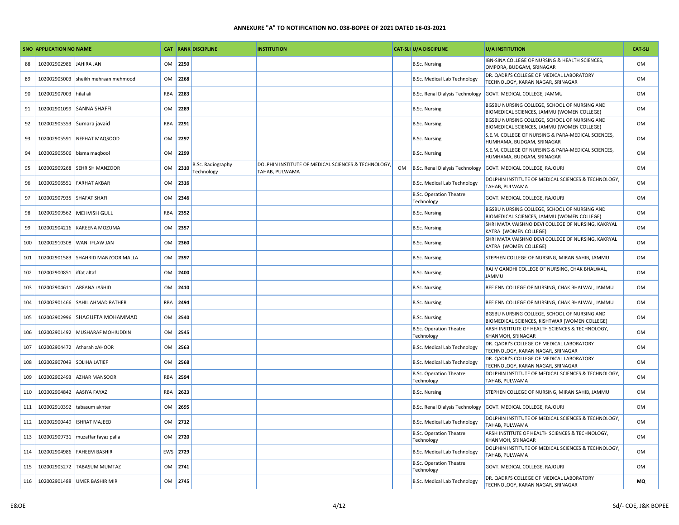|     | SNO APPLICATION NO NAME    |                              |     |      | <b>CAT RANK DISCIPLINE</b>      | <b>INSTITUTION</b>                                                   |           | <b>CAT-SLI U/A DISCIPLINE</b>                | <b>U/A INSTITUTION</b>                                                                        | <b>CAT-SLI</b> |
|-----|----------------------------|------------------------------|-----|------|---------------------------------|----------------------------------------------------------------------|-----------|----------------------------------------------|-----------------------------------------------------------------------------------------------|----------------|
| 88  | 102002902986               | JAHIRA JAN                   | OM  | 2250 |                                 |                                                                      |           | <b>B.Sc. Nursing</b>                         | IBN-SINA COLLEGE OF NURSING & HEALTH SCIENCES,<br>OMPORA, BUDGAM, SRINAGAR                    | <b>OM</b>      |
| 89  | 102002905003               | sheikh mehraan mehmood       | OM  | 2268 |                                 |                                                                      |           | B.Sc. Medical Lab Technology                 | DR. QADRI'S COLLEGE OF MEDICAL LABORATORY<br>TECHNOLOGY, KARAN NAGAR, SRINAGAR                | OM             |
| 90  | 102002907003               | hilal ali                    | RBA | 2283 |                                 |                                                                      |           | <b>B.Sc. Renal Dialysis Technology</b>       | GOVT. MEDICAL COLLEGE, JAMMU                                                                  | <b>OM</b>      |
| 91  |                            | 102002901099 SANNA SHAFFI    | OM  | 2289 |                                 |                                                                      |           | <b>B.Sc. Nursing</b>                         | BGSBU NURSING COLLEGE, SCHOOL OF NURSING AND<br>BIOMEDICAL SCIENCES, JAMMU (WOMEN COLLEGE)    | OM             |
| 92  | 102002905353               | Sumara javaid                | RBA | 2291 |                                 |                                                                      |           | <b>B.Sc. Nursing</b>                         | BGSBU NURSING COLLEGE, SCHOOL OF NURSING AND<br>BIOMEDICAL SCIENCES, JAMMU (WOMEN COLLEGE)    | <b>OM</b>      |
| 93  | 102002905591               | NEFHAT MAQSOOD               | OM  | 2297 |                                 |                                                                      |           | <b>B.Sc. Nursing</b>                         | S.E.M. COLLEGE OF NURSING & PARA-MEDICAL SCIENCES,<br>HUMHAMA, BUDGAM, SRINAGAR               | <b>OM</b>      |
| 94  | 102002905506               | bisma magbool                | OM  | 2299 |                                 |                                                                      |           | <b>B.Sc. Nursing</b>                         | S.E.M. COLLEGE OF NURSING & PARA-MEDICAL SCIENCES,<br>HUMHAMA, BUDGAM, SRINAGAR               | <b>OM</b>      |
| 95  | 102002909268               | <b>SEHRISH MANZOOR</b>       | OM  | 2310 | B.Sc. Radiography<br>Technology | DOLPHIN INSTITUTE OF MEDICAL SCIENCES & TECHNOLOGY<br>TAHAB, PULWAMA | <b>OM</b> | B.Sc. Renal Dialysis Technology              | GOVT. MEDICAL COLLEGE, RAJOURI                                                                | <b>OM</b>      |
| 96  | 102002906551               | <b>FARHAT AKBAR</b>          | OM  | 2316 |                                 |                                                                      |           | <b>B.Sc. Medical Lab Technology</b>          | DOLPHIN INSTITUTE OF MEDICAL SCIENCES & TECHNOLOGY,<br>TAHAB, PULWAMA                         | <b>OM</b>      |
| 97  | 102002907935               | <b>SHAFAT SHAFI</b>          | OM  | 2346 |                                 |                                                                      |           | <b>B.Sc. Operation Theatre</b><br>Technology | GOVT. MEDICAL COLLEGE, RAJOURI                                                                | <b>OM</b>      |
| 98  | 102002909562               | <b>MEHVISH GULL</b>          | RBA | 2352 |                                 |                                                                      |           | <b>B.Sc. Nursing</b>                         | BGSBU NURSING COLLEGE, SCHOOL OF NURSING AND<br>BIOMEDICAL SCIENCES, JAMMU (WOMEN COLLEGE)    | <b>OM</b>      |
| 99  | 102002904216               | KAREENA MOZUMA               | OM  | 2357 |                                 |                                                                      |           | <b>B.Sc. Nursing</b>                         | SHRI MATA VAISHNO DEVI COLLEGE OF NURSING, KAKRYAL<br>KATRA (WOMEN COLLEGE)                   | <b>OM</b>      |
| 100 | 102002910308               | WANI IFLAW JAN               | OM  | 2360 |                                 |                                                                      |           | <b>B.Sc. Nursing</b>                         | SHRI MATA VAISHNO DEVI COLLEGE OF NURSING, KAKRYAL<br>KATRA (WOMEN COLLEGE)                   | <b>OM</b>      |
| 101 | 102002901583               | SHAHRID MANZOOR MALLA        | OM  | 2397 |                                 |                                                                      |           | <b>B.Sc. Nursing</b>                         | STEPHEN COLLEGE OF NURSING, MIRAN SAHIB, JAMMU                                                | <b>OM</b>      |
| 102 | 102002900851               | iffat altaf                  | OM  | 2400 |                                 |                                                                      |           | <b>B.Sc. Nursing</b>                         | RAJIV GANDHI COLLEGE OF NURSING, CHAK BHALWAL,<br><b>JAMMU</b>                                | <b>OM</b>      |
| 103 | 102002904611               | <b>ARFANA rASHID</b>         | OM  | 2410 |                                 |                                                                      |           | <b>B.Sc. Nursing</b>                         | BEE ENN COLLEGE OF NURSING, CHAK BHALWAL, JAMMU                                               | 0 <sub>M</sub> |
| 104 | 102002901466               | <b>SAHIL AHMAD RATHER</b>    | RBA | 2494 |                                 |                                                                      |           | <b>B.Sc. Nursing</b>                         | BEE ENN COLLEGE OF NURSING, CHAK BHALWAL, JAMMU                                               | <b>OM</b>      |
| 105 | 102002902996               | <b>SHAGUFTA MOHAMMAD</b>     | OM  | 2540 |                                 |                                                                      |           | <b>B.Sc. Nursing</b>                         | BGSBU NURSING COLLEGE, SCHOOL OF NURSING AND<br>BIOMEDICAL SCIENCES, KISHTWAR (WOMEN COLLEGE) | 0 <sub>M</sub> |
| 106 | 102002901492               | MUSHARAF MOHIUDDIN           | OM  | 2545 |                                 |                                                                      |           | <b>B.Sc. Operation Theatre</b><br>Technology | ARSH INSTITUTE OF HEALTH SCIENCES & TECHNOLOGY,<br>KHANMOH, SRINAGAR                          | <b>OM</b>      |
| 107 | 102002904472               | Atharah zAHOOR               | OM  | 2563 |                                 |                                                                      |           | B.Sc. Medical Lab Technology                 | DR. QADRI'S COLLEGE OF MEDICAL LABORATORY<br>TECHNOLOGY, KARAN NAGAR, SRINAGAR                | <b>OM</b>      |
| 108 | 102002907049 SOLIHA LATIEF |                              | OM  | 2568 |                                 |                                                                      |           | <b>B.Sc. Medical Lab Technology</b>          | DR. QADRI'S COLLEGE OF MEDICAL LABORATORY<br>TECHNOLOGY, KARAN NAGAR, SRINAGAR                | <b>OM</b>      |
| 109 | 102002902493               | <b>AZHAR MANSOOR</b>         | RBA | 2594 |                                 |                                                                      |           | <b>B.Sc. Operation Theatre</b><br>Technology | DOLPHIN INSTITUTE OF MEDICAL SCIENCES & TECHNOLOGY,<br><b>TAHAB, PULWAMA</b>                  | 0 <sub>M</sub> |
| 110 | 102002904842               | <b>AASIYA FAYAZ</b>          | RBA | 2623 |                                 |                                                                      |           | <b>B.Sc. Nursing</b>                         | STEPHEN COLLEGE OF NURSING, MIRAN SAHIB, JAMMU                                                | <b>OM</b>      |
| 111 | 102002910392               | tabasum akhter               | OM  | 2695 |                                 |                                                                      |           | B.Sc. Renal Dialysis Technology              | GOVT. MEDICAL COLLEGE, RAJOURI                                                                | <b>OM</b>      |
| 112 | 102002900449               | <b>ISHRAT MAJEED</b>         | OM  | 2712 |                                 |                                                                      |           | <b>B.Sc. Medical Lab Technology</b>          | DOLPHIN INSTITUTE OF MEDICAL SCIENCES & TECHNOLOGY,<br>TAHAB, PULWAMA                         | <b>OM</b>      |
| 113 | 102002909731               | muzaffar fayaz palla         | OM  | 2720 |                                 |                                                                      |           | <b>B.Sc. Operation Theatre</b><br>Technology | ARSH INSTITUTE OF HEALTH SCIENCES & TECHNOLOGY,<br><b>KHANMOH, SRINAGAR</b>                   | <b>OM</b>      |
| 114 | 102002904986               | <b>FAHEEM BASHIR</b>         | EWS | 2729 |                                 |                                                                      |           | <b>B.Sc. Medical Lab Technology</b>          | DOLPHIN INSTITUTE OF MEDICAL SCIENCES & TECHNOLOGY,<br>TAHAB, PULWAMA                         | <b>OM</b>      |
| 115 | 102002905272               | <b>TABASUM MUMTAZ</b>        | OM  | 2741 |                                 |                                                                      |           | <b>B.Sc. Operation Theatre</b><br>Technology | GOVT. MEDICAL COLLEGE, RAJOURI                                                                | <b>OM</b>      |
| 116 |                            | 102002901488 UMER BASHIR MIR | OM  | 2745 |                                 |                                                                      |           | <b>B.Sc. Medical Lab Technology</b>          | DR. QADRI'S COLLEGE OF MEDICAL LABORATORY<br>TECHNOLOGY, KARAN NAGAR, SRINAGAR                | <b>MQ</b>      |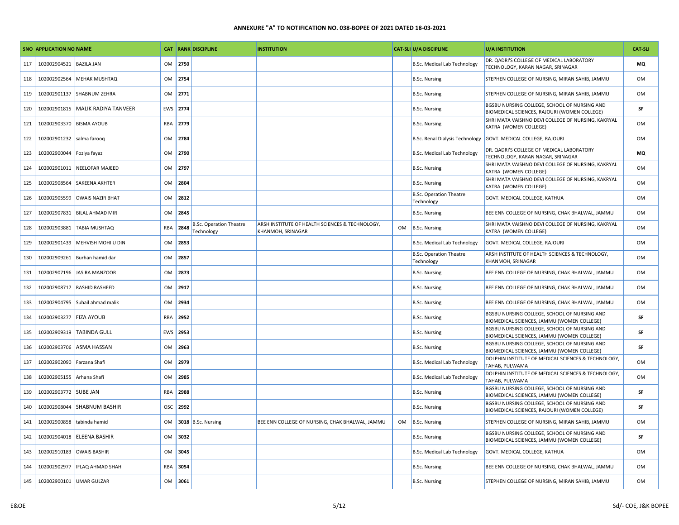|     | SNO APPLICATION NO NAME    |                                     |           |          | <b>CAT RANK DISCIPLINE</b>                   | <b>INSTITUTION</b>                                                   |    | <b>CAT-SLI U/A DISCIPLINE</b>                | U/A INSTITUTION                                                                              | <b>CAT-SLI</b> |
|-----|----------------------------|-------------------------------------|-----------|----------|----------------------------------------------|----------------------------------------------------------------------|----|----------------------------------------------|----------------------------------------------------------------------------------------------|----------------|
| 117 | 102002904521               | <b>BAZILA JAN</b>                   | OM        | 2750     |                                              |                                                                      |    | <b>B.Sc. Medical Lab Technology</b>          | DR. QADRI'S COLLEGE OF MEDICAL LABORATORY<br>TECHNOLOGY, KARAN NAGAR, SRINAGAR               | MQ             |
| 118 | 102002902564               | <b>MEHAK MUSHTAQ</b>                | <b>OM</b> | 2754     |                                              |                                                                      |    | <b>B.Sc. Nursing</b>                         | STEPHEN COLLEGE OF NURSING, MIRAN SAHIB, JAMMU                                               | OM             |
| 119 | 102002901137               | <b>SHABNUM ZEHRA</b>                | OM        | 2771     |                                              |                                                                      |    | <b>B.Sc. Nursing</b>                         | STEPHEN COLLEGE OF NURSING, MIRAN SAHIB, JAMMU                                               | OM             |
| 120 |                            | 102002901815   MALIK RADIYA TANVEER |           | EWS 2774 |                                              |                                                                      |    | <b>B.Sc. Nursing</b>                         | BGSBU NURSING COLLEGE, SCHOOL OF NURSING AND<br>BIOMEDICAL SCIENCES, RAJOURI (WOMEN COLLEGE) | SF             |
| 121 | 102002903370               | <b>BISMA AYOUB</b>                  | RBA       | 2779     |                                              |                                                                      |    | <b>B.Sc. Nursing</b>                         | SHRI MATA VAISHNO DEVI COLLEGE OF NURSING, KAKRYAL<br>KATRA (WOMEN COLLEGE)                  | OM             |
| 122 | 102002901232 salma farooq  |                                     | OM        | 2784     |                                              |                                                                      |    | B.Sc. Renal Dialysis Technology              | GOVT. MEDICAL COLLEGE, RAJOURI                                                               | OM             |
| 123 | 102002900044 Foziya fayaz  |                                     | OM        | 2790     |                                              |                                                                      |    | <b>B.Sc. Medical Lab Technology</b>          | DR. QADRI'S COLLEGE OF MEDICAL LABORATORY<br>TECHNOLOGY, KARAN NAGAR, SRINAGAR               | MQ             |
| 124 |                            | 102002901011 NEELOFAR MAJEED        | <b>OM</b> | 2797     |                                              |                                                                      |    | <b>B.Sc. Nursing</b>                         | SHRI MATA VAISHNO DEVI COLLEGE OF NURSING, KAKRYAL<br>KATRA (WOMEN COLLEGE)                  | OM             |
| 125 | 102002908564               | <b>SAKEENA AKHTER</b>               | OM        | 2804     |                                              |                                                                      |    | <b>B.Sc. Nursing</b>                         | SHRI MATA VAISHNO DEVI COLLEGE OF NURSING, KAKRYAL<br>KATRA (WOMEN COLLEGE)                  | OM             |
| 126 | 102002905599               | <b>OWAIS NAZIR BHAT</b>             | OM        | 2812     |                                              |                                                                      |    | <b>B.Sc. Operation Theatre</b><br>Technology | GOVT. MEDICAL COLLEGE, KATHUA                                                                | OM             |
| 127 |                            | 102002907831 BILAL AHMAD MIR        | OM        | 2845     |                                              |                                                                      |    | <b>B.Sc. Nursing</b>                         | BEE ENN COLLEGE OF NURSING, CHAK BHALWAL, JAMMU                                              | OM             |
| 128 | 102002903881               | <b>TABIA MUSHTAQ</b>                | RBA       | 2848     | <b>B.Sc. Operation Theatre</b><br>Technology | ARSH INSTITUTE OF HEALTH SCIENCES & TECHNOLOGY,<br>KHANMOH, SRINAGAR |    | OM B.Sc. Nursing                             | SHRI MATA VAISHNO DEVI COLLEGE OF NURSING, KAKRYAL<br>KATRA (WOMEN COLLEGE)                  | OM             |
| 129 | 102002901439               | MEHVISH MOHI U DIN                  | OM        | 2853     |                                              |                                                                      |    | <b>B.Sc. Medical Lab Technology</b>          | GOVT. MEDICAL COLLEGE, RAJOURI                                                               | OM             |
| 130 | 102002909261               | Burhan hamid dar                    | <b>OM</b> | 2857     |                                              |                                                                      |    | <b>B.Sc. Operation Theatre</b><br>Technology | ARSH INSTITUTE OF HEALTH SCIENCES & TECHNOLOGY,<br>KHANMOH, SRINAGAR                         | OM             |
| 131 |                            | 102002907196 JASIRA MANZOOR         | OM        | 2873     |                                              |                                                                      |    | <b>B.Sc. Nursing</b>                         | BEE ENN COLLEGE OF NURSING, CHAK BHALWAL, JAMMU                                              | OM             |
| 132 |                            | 102002908717 RASHID RASHEED         | OM        | 2917     |                                              |                                                                      |    | <b>B.Sc. Nursing</b>                         | BEE ENN COLLEGE OF NURSING, CHAK BHALWAL, JAMMU                                              | OM             |
| 133 |                            | 102002904795 Suhail ahmad malik     | <b>OM</b> | 2934     |                                              |                                                                      |    | <b>B.Sc. Nursing</b>                         | BEE ENN COLLEGE OF NURSING, CHAK BHALWAL, JAMMU                                              | OM             |
| 134 | 102002903277 FIZA AYOUB    |                                     | RBA       | 2952     |                                              |                                                                      |    | <b>B.Sc. Nursing</b>                         | BGSBU NURSING COLLEGE, SCHOOL OF NURSING AND<br>BIOMEDICAL SCIENCES, JAMMU (WOMEN COLLEGE)   | SF             |
| 135 |                            | 102002909319   TABINDA GULL         |           | EWS 2953 |                                              |                                                                      |    | <b>B.Sc. Nursing</b>                         | BGSBU NURSING COLLEGE, SCHOOL OF NURSING AND<br>BIOMEDICAL SCIENCES, JAMMU (WOMEN COLLEGE)   | SF             |
| 136 | 102002903706               | <b>ASMA HASSAN</b>                  | <b>OM</b> | 2963     |                                              |                                                                      |    | B.Sc. Nursing                                | BGSBU NURSING COLLEGE, SCHOOL OF NURSING AND<br>BIOMEDICAL SCIENCES, JAMMU (WOMEN COLLEGE)   | SF             |
| 137 | 102002902090 Farzana Shafi |                                     | OM        | 2979     |                                              |                                                                      |    | B.Sc. Medical Lab Technology                 | DOLPHIN INSTITUTE OF MEDICAL SCIENCES & TECHNOLOGY,<br>TAHAB, PULWAMA                        | OM             |
| 138 | 102002905155 Arhana Shafi  |                                     | <b>OM</b> | 2985     |                                              |                                                                      |    | B.Sc. Medical Lab Technology                 | DOLPHIN INSTITUTE OF MEDICAL SCIENCES & TECHNOLOGY,<br>TAHAB, PULWAMA                        | OM             |
| 139 | 102002903772 SUBE JAN      |                                     | RBA       | 2988     |                                              |                                                                      |    | <b>B.Sc. Nursing</b>                         | BGSBU NURSING COLLEGE, SCHOOL OF NURSING AND<br>BIOMEDICAL SCIENCES, JAMMU (WOMEN COLLEGE)   | SF             |
| 140 | 102002908044               | <b>SHABNUM BASHIR</b>               | OSC       | 2992     |                                              |                                                                      |    | <b>B.Sc. Nursing</b>                         | BGSBU NURSING COLLEGE, SCHOOL OF NURSING AND<br>BIOMEDICAL SCIENCES, RAJOURI (WOMEN COLLEGE) | SF             |
| 141 | 102002900858               | tabinda hamid                       | OM        |          | 3018 B.Sc. Nursing                           | BEE ENN COLLEGE OF NURSING, CHAK BHALWAL, JAMMU                      | OM | B.Sc. Nursing                                | STEPHEN COLLEGE OF NURSING, MIRAN SAHIB, JAMMU                                               | OM             |
| 142 | 102002904018               | <b>ELEENA BASHIR</b>                | <b>OM</b> | 3032     |                                              |                                                                      |    | <b>B.Sc. Nursing</b>                         | BGSBU NURSING COLLEGE, SCHOOL OF NURSING AND<br>BIOMEDICAL SCIENCES, JAMMU (WOMEN COLLEGE)   | SF             |
| 143 | 102002910183               | <b>OWAIS BASHIR</b>                 | OM        | 3045     |                                              |                                                                      |    | <b>B.Sc. Medical Lab Technology</b>          | GOVT. MEDICAL COLLEGE, KATHUA                                                                | OM             |
| 144 | 102002902977               | <b>IFLAQ AHMAD SHAH</b>             | RBA       | 3054     |                                              |                                                                      |    | <b>B.Sc. Nursing</b>                         | BEE ENN COLLEGE OF NURSING, CHAK BHALWAL, JAMMU                                              | OM             |
| 145 | 102002900101 UMAR GULZAR   |                                     | OM        | 3061     |                                              |                                                                      |    | <b>B.Sc. Nursing</b>                         | STEPHEN COLLEGE OF NURSING, MIRAN SAHIB, JAMMU                                               | OM             |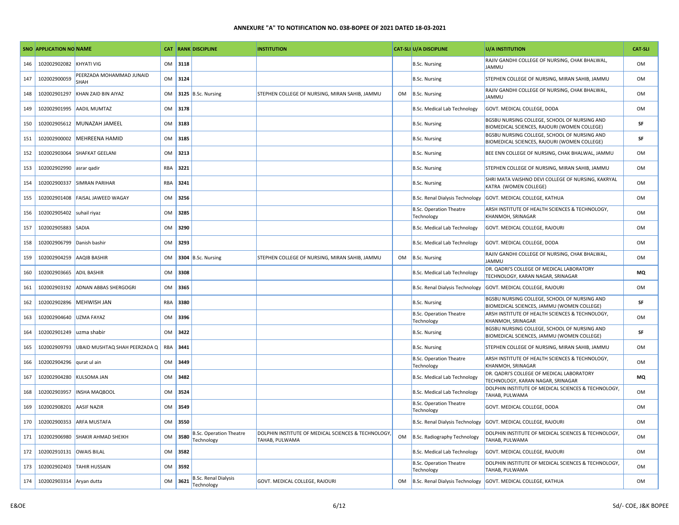|     | SNO APPLICATION NO NAME  |                                  |            |      | <b>CAT RANK DISCIPLINE</b>                   | <b>INSTITUTION</b>                                                    |           | <b>CAT-SLI U/A DISCIPLINE</b>                | <b>U/A INSTITUTION</b>                                                                       | <b>CAT-SLI</b> |
|-----|--------------------------|----------------------------------|------------|------|----------------------------------------------|-----------------------------------------------------------------------|-----------|----------------------------------------------|----------------------------------------------------------------------------------------------|----------------|
| 146 | 102002902082             | KHYATI VIG                       | OM         | 3118 |                                              |                                                                       |           | <b>B.Sc. Nursing</b>                         | RAJIV GANDHI COLLEGE OF NURSING, CHAK BHALWAL,<br><b>JAMMU</b>                               | <b>OM</b>      |
| 147 | 102002900059             | PEERZADA MOHAMMAD JUNAID<br>SHAH | OM         | 3124 |                                              |                                                                       |           | <b>B.Sc. Nursing</b>                         | STEPHEN COLLEGE OF NURSING, MIRAN SAHIB, JAMMU                                               | <b>OM</b>      |
| 148 | 102002901297             | KHAN ZAID BIN AIYAZ              | <b>OM</b>  |      | 3125 B.Sc. Nursing                           | STEPHEN COLLEGE OF NURSING, MIRAN SAHIB, JAMMU                        | OM        | B.Sc. Nursing                                | RAJIV GANDHI COLLEGE OF NURSING, CHAK BHALWAL,<br><b>JAMMU</b>                               | <b>OM</b>      |
| 149 | 102002901995             | <b>AADIL MUMTAZ</b>              | <b>OM</b>  | 3178 |                                              |                                                                       |           | <b>B.Sc. Medical Lab Technology</b>          | GOVT. MEDICAL COLLEGE, DODA                                                                  | <b>OM</b>      |
| 150 | 102002905612             | MUNAZAH JAMEEL                   | OM         | 3183 |                                              |                                                                       |           | <b>B.Sc. Nursing</b>                         | BGSBU NURSING COLLEGE, SCHOOL OF NURSING AND<br>BIOMEDICAL SCIENCES, RAJOURI (WOMEN COLLEGE) | SF             |
| 151 | 102002900002             | <b>MEHREENA HAMID</b>            | OM         | 3185 |                                              |                                                                       |           | <b>B.Sc. Nursing</b>                         | BGSBU NURSING COLLEGE, SCHOOL OF NURSING AND<br>BIOMEDICAL SCIENCES, RAJOURI (WOMEN COLLEGE) | SF             |
| 152 | 102002903064             | <b>SHAFKAT GEELANI</b>           | OM         | 3213 |                                              |                                                                       |           | <b>B.Sc. Nursing</b>                         | BEE ENN COLLEGE OF NURSING, CHAK BHALWAL, JAMMU                                              | <b>OM</b>      |
| 153 | 102002902990 asrar gadir |                                  | RBA        | 3221 |                                              |                                                                       |           | <b>B.Sc. Nursing</b>                         | STEPHEN COLLEGE OF NURSING, MIRAN SAHIB, JAMMU                                               | <b>OM</b>      |
| 154 | 102002900337             | <b>SIMRAN PARIHAR</b>            | RBA        | 3241 |                                              |                                                                       |           | <b>B.Sc. Nursing</b>                         | SHRI MATA VAISHNO DEVI COLLEGE OF NURSING, KAKRYAL<br>KATRA (WOMEN COLLEGE)                  | <b>OM</b>      |
| 155 | 102002901408             | FAISAL JAWEED WAGAY              | OM         | 3256 |                                              |                                                                       |           | <b>B.Sc. Renal Dialysis Technology</b>       | GOVT. MEDICAL COLLEGE, KATHUA                                                                | <b>OM</b>      |
| 156 | 102002905402             | suhail riyaz                     | OM         | 3285 |                                              |                                                                       |           | <b>B.Sc. Operation Theatre</b><br>Technology | ARSH INSTITUTE OF HEALTH SCIENCES & TECHNOLOGY,<br>KHANMOH, SRINAGAR                         | <b>OM</b>      |
| 157 | 102002905883             | SADIA                            | OM         | 3290 |                                              |                                                                       |           | <b>B.Sc. Medical Lab Technology</b>          | GOVT. MEDICAL COLLEGE, RAJOURI                                                               | <b>OM</b>      |
| 158 | 102002906799             | Danish bashir                    | OM         | 3293 |                                              |                                                                       |           | <b>B.Sc. Medical Lab Technology</b>          | GOVT. MEDICAL COLLEGE, DODA                                                                  | <b>OM</b>      |
| 159 | 102002904259             | AAQIB BASHIR                     | <b>OM</b>  | 3304 | B.Sc. Nursing                                | STEPHEN COLLEGE OF NURSING, MIRAN SAHIB, JAMMU                        | OM        | B.Sc. Nursing                                | RAJIV GANDHI COLLEGE OF NURSING, CHAK BHALWAL,<br><b>JAMMU</b>                               | OM             |
| 160 | 102002903665             | <b>ADIL BASHIR</b>               | OM         | 3308 |                                              |                                                                       |           | <b>B.Sc. Medical Lab Technology</b>          | DR. QADRI'S COLLEGE OF MEDICAL LABORATORY<br>TECHNOLOGY, KARAN NAGAR, SRINAGAR               | <b>MQ</b>      |
| 161 | 102002903192             | ADNAN ABBAS SHERGOGRI            | OM         | 3365 |                                              |                                                                       |           | B.Sc. Renal Dialysis Technology              | GOVT. MEDICAL COLLEGE, RAJOURI                                                               | <b>OM</b>      |
| 162 | 102002902896             | <b>MEHWISH JAN</b>               | RBA        | 3380 |                                              |                                                                       |           | <b>B.Sc. Nursing</b>                         | BGSBU NURSING COLLEGE, SCHOOL OF NURSING AND<br>BIOMEDICAL SCIENCES, JAMMU (WOMEN COLLEGE)   | SF             |
| 163 | 102002904640             | <b>UZMA FAYAZ</b>                | OM         | 3396 |                                              |                                                                       |           | <b>B.Sc. Operation Theatre</b><br>Technology | ARSH INSTITUTE OF HEALTH SCIENCES & TECHNOLOGY,<br>KHANMOH, SRINAGAR                         | <b>OM</b>      |
| 164 | 102002901249             | uzma shabir                      | OM         | 3422 |                                              |                                                                       |           | <b>B.Sc. Nursing</b>                         | BGSBU NURSING COLLEGE, SCHOOL OF NURSING AND<br>BIOMEDICAL SCIENCES, JAMMU (WOMEN COLLEGE)   | SF             |
| 165 | 102002909793             | UBAID MUSHTAQ SHAH PEERZADA Q    | <b>RBA</b> | 3441 |                                              |                                                                       |           | <b>B.Sc. Nursing</b>                         | STEPHEN COLLEGE OF NURSING, MIRAN SAHIB, JAMMU                                               | <b>OM</b>      |
| 166 | 102002904296             | qurat ul ain                     | OM         | 3449 |                                              |                                                                       |           | <b>B.Sc. Operation Theatre</b><br>Technology | ARSH INSTITUTE OF HEALTH SCIENCES & TECHNOLOGY,<br>KHANMOH, SRINAGAR                         | <b>OM</b>      |
| 167 | 102002904280             | KULSOMA JAN                      | OM         | 3482 |                                              |                                                                       |           | B.Sc. Medical Lab Technology                 | DR. QADRI'S COLLEGE OF MEDICAL LABORATORY<br>TECHNOLOGY, KARAN NAGAR, SRINAGAR               | <b>MQ</b>      |
| 168 | 102002903957             | <b>INSHA MAQBOOL</b>             | OM         | 3524 |                                              |                                                                       |           | B.Sc. Medical Lab Technology                 | DOLPHIN INSTITUTE OF MEDICAL SCIENCES & TECHNOLOGY,<br>TAHAB, PULWAMA                        | <b>OM</b>      |
| 169 | 102002908201             | <b>AASIF NAZIR</b>               | OM         | 3549 |                                              |                                                                       |           | <b>B.Sc. Operation Theatre</b><br>Technology | GOVT. MEDICAL COLLEGE, DODA                                                                  | <b>OM</b>      |
| 170 | 102002900353             | ARFA MUSTAFA                     | OM         | 3550 |                                              |                                                                       |           | B.Sc. Renal Dialysis Technology              | GOVT. MEDICAL COLLEGE, RAJOURI                                                               | OM             |
| 171 | 102002906980             | <b>SHAKIR AHMAD SHEIKH</b>       | OM         | 3580 | <b>B.Sc. Operation Theatre</b><br>Technology | DOLPHIN INSTITUTE OF MEDICAL SCIENCES & TECHNOLOGY,<br>TAHAB, PULWAMA | OM        | B.Sc. Radiography Technology                 | DOLPHIN INSTITUTE OF MEDICAL SCIENCES & TECHNOLOGY,<br>TAHAB, PULWAMA                        | 0 <sub>M</sub> |
| 172 | 102002910131             | <b>OWAIS BILAL</b>               | OM         | 3582 |                                              |                                                                       |           | <b>B.Sc. Medical Lab Technology</b>          | GOVT. MEDICAL COLLEGE, RAJOURI                                                               | <b>OM</b>      |
| 173 | 102002902403             | <b>TAHIR HUSSAIN</b>             | OM         | 3592 |                                              |                                                                       |           | <b>B.Sc. Operation Theatre</b><br>Technology | DOLPHIN INSTITUTE OF MEDICAL SCIENCES & TECHNOLOGY,<br><b>TAHAB, PULWAMA</b>                 | 0 <sub>M</sub> |
| 174 | 102002903314 Aryan dutta |                                  | <b>OM</b>  | 3621 | <b>B.Sc. Renal Dialysis</b><br>Technology    | GOVT. MEDICAL COLLEGE, RAJOURI                                        | <b>OM</b> | B.Sc. Renal Dialysis Technology              | GOVT. MEDICAL COLLEGE, KATHUA                                                                | <b>OM</b>      |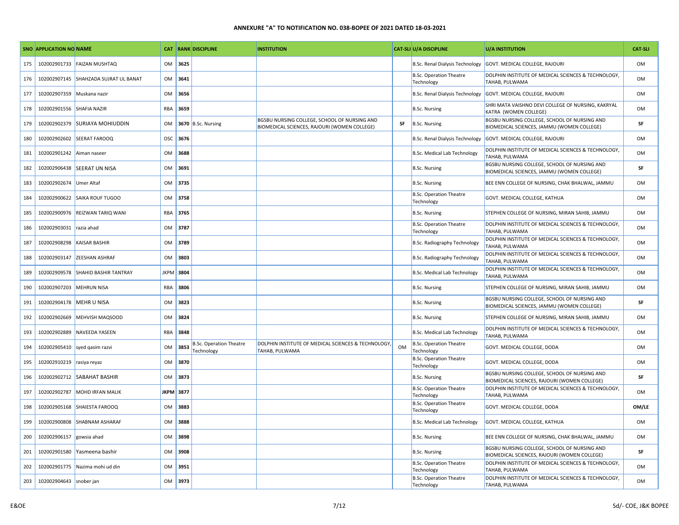|     | SNO APPLICATION NO NAME   |                                       |           |          | <b>CAT RANK DISCIPLINE</b>            | <b>INSTITUTION</b>                                                                           |           | <b>CAT-SLI U/A DISCIPLINE</b>                | <b>U/A INSTITUTION</b>                                                                       | <b>CAT-SLI</b> |
|-----|---------------------------|---------------------------------------|-----------|----------|---------------------------------------|----------------------------------------------------------------------------------------------|-----------|----------------------------------------------|----------------------------------------------------------------------------------------------|----------------|
| 175 | 102002901733              | <b>FAIZAN MUSHTAQ</b>                 | OM        | 3625     |                                       |                                                                                              |           | <b>B.Sc. Renal Dialysis Technology</b>       | GOVT. MEDICAL COLLEGE, RAJOURI                                                               | OM             |
| 176 |                           | 102002907145 SHAHZADA SUJRAT UL BANAT | OM        | 3641     |                                       |                                                                                              |           | <b>B.Sc. Operation Theatre</b><br>Technology | DOLPHIN INSTITUTE OF MEDICAL SCIENCES & TECHNOLOGY,<br>TAHAB, PULWAMA                        | OM             |
| 177 | 102002907359              | Muskana nazir                         | OM        | 3656     |                                       |                                                                                              |           |                                              | B.Sc. Renal Dialysis Technology GOVT. MEDICAL COLLEGE, RAJOURI                               | OM             |
| 178 | 102002901556 SHAFIA NAZIR |                                       | RBA       | 3659     |                                       |                                                                                              |           | <b>B.Sc. Nursing</b>                         | SHRI MATA VAISHNO DEVI COLLEGE OF NURSING, KAKRYAL<br>KATRA (WOMEN COLLEGE)                  | OM             |
| 179 | 102002902379              | <b>SURIAYA MOHIUDDIN</b>              | <b>OM</b> |          | 3670 B.Sc. Nursing                    | BGSBU NURSING COLLEGE, SCHOOL OF NURSING AND<br>BIOMEDICAL SCIENCES, RAJOURI (WOMEN COLLEGE) | SF        | B.Sc. Nursing                                | BGSBU NURSING COLLEGE, SCHOOL OF NURSING AND<br>BIOMEDICAL SCIENCES, JAMMU (WOMEN COLLEGE)   | SF             |
| 180 |                           | 102002902602 SEERAT FAROOQ            |           | OSC 3676 |                                       |                                                                                              |           | B.Sc. Renal Dialysis Technology              | GOVT. MEDICAL COLLEGE, RAJOURI                                                               | OM             |
| 181 | 102002901242 Aiman naseer |                                       | OM        | 3688     |                                       |                                                                                              |           | <b>B.Sc. Medical Lab Technology</b>          | DOLPHIN INSTITUTE OF MEDICAL SCIENCES & TECHNOLOGY,<br><b>TAHAB, PULWAMA</b>                 | OM             |
| 182 |                           | 102002906438 SEERAT UN NISA           | OM        | 3691     |                                       |                                                                                              |           | <b>B.Sc. Nursing</b>                         | BGSBU NURSING COLLEGE, SCHOOL OF NURSING AND<br>BIOMEDICAL SCIENCES, JAMMU (WOMEN COLLEGE)   | SF             |
| 183 | 102002902674              | <b>Umer Altaf</b>                     | OM        | 3735     |                                       |                                                                                              |           | <b>B.Sc. Nursing</b>                         | BEE ENN COLLEGE OF NURSING, CHAK BHALWAL, JAMMU                                              | OM             |
| 184 |                           | 102002900622 SAIKA ROUF TUGOO         | OM        | 3758     |                                       |                                                                                              |           | <b>B.Sc. Operation Theatre</b><br>Technology | <b>GOVT. MEDICAL COLLEGE, KATHUA</b>                                                         | OM             |
| 185 | 102002900976              | <b>REIZWAN TARIQ WANI</b>             | RBA       | 3765     |                                       |                                                                                              |           | <b>B.Sc. Nursing</b>                         | STEPHEN COLLEGE OF NURSING, MIRAN SAHIB, JAMMU                                               | OM             |
| 186 | 102002903031 razia ahad   |                                       | OM        | 3787     |                                       |                                                                                              |           | <b>B.Sc. Operation Theatre</b><br>Technology | DOLPHIN INSTITUTE OF MEDICAL SCIENCES & TECHNOLOGY,<br><b>TAHAB, PULWAMA</b>                 | OM             |
| 187 | 102002908298              | <b>KAISAR BASHIR</b>                  | OM        | 3789     |                                       |                                                                                              |           | B.Sc. Radiography Technology                 | DOLPHIN INSTITUTE OF MEDICAL SCIENCES & TECHNOLOGY,<br>TAHAB, PULWAMA                        | OM             |
| 188 |                           | 102002903147 ZEESHAN ASHRAF           | OM        | 3803     |                                       |                                                                                              |           | B.Sc. Radiography Technology                 | DOLPHIN INSTITUTE OF MEDICAL SCIENCES & TECHNOLOGY,<br>TAHAB, PULWAMA                        | OM             |
| 189 | 102002909578              | <b>SHAHID BASHIR TANTRAY</b>          | JKPM      | 3804     |                                       |                                                                                              |           | <b>B.Sc. Medical Lab Technology</b>          | DOLPHIN INSTITUTE OF MEDICAL SCIENCES & TECHNOLOGY,<br>TAHAB, PULWAMA                        | OM             |
| 190 | 102002907203              | <b>MEHRUN NISA</b>                    | RBA       | 3806     |                                       |                                                                                              |           | <b>B.Sc. Nursing</b>                         | STEPHEN COLLEGE OF NURSING, MIRAN SAHIB, JAMMU                                               | OM             |
| 191 | 102002904178              | <b>MEHR U NISA</b>                    | OM        | 3823     |                                       |                                                                                              |           | <b>B.Sc. Nursing</b>                         | BGSBU NURSING COLLEGE, SCHOOL OF NURSING AND<br>BIOMEDICAL SCIENCES, JAMMU (WOMEN COLLEGE)   | SF             |
| 192 | 102002902669              | MEHVISH MAQSOOD                       | OM        | 3824     |                                       |                                                                                              |           | <b>B.Sc. Nursing</b>                         | STEPHEN COLLEGE OF NURSING, MIRAN SAHIB, JAMMU                                               | OM             |
| 193 | 102002902889              | NAVEEDA YASEEN                        | RBA       | 3848     |                                       |                                                                                              |           | B.Sc. Medical Lab Technology                 | DOLPHIN INSTITUTE OF MEDICAL SCIENCES & TECHNOLOGY,<br>TAHAB, PULWAMA                        | OM             |
| 194 | 102002905410              | syed qasim razvi                      | OM        | 3853     | B.Sc. Operation Theatre<br>Technology | DOLPHIN INSTITUTE OF MEDICAL SCIENCES & TECHNOLOGY,<br>TAHAB, PULWAMA                        | <b>OM</b> | <b>B.Sc. Operation Theatre</b><br>Technology | GOVT. MEDICAL COLLEGE, DODA                                                                  | OM             |
| 195 | 102002910219              | rasiya reyaz                          | OM        | 3870     |                                       |                                                                                              |           | <b>B.Sc. Operation Theatre</b><br>Technology | GOVT. MEDICAL COLLEGE, DODA                                                                  | OM             |
| 196 |                           | 102002902712 SABAHAT BASHIR           | OM        | 3873     |                                       |                                                                                              |           | <b>B.Sc. Nursing</b>                         | BGSBU NURSING COLLEGE, SCHOOL OF NURSING AND<br>BIOMEDICAL SCIENCES, RAJOURI (WOMEN COLLEGE) | SF             |
| 197 | 102002902787              | MOHD IRFAN MALIK                      | JKPM 3877 |          |                                       |                                                                                              |           | <b>B.Sc. Operation Theatre</b><br>Technology | DOLPHIN INSTITUTE OF MEDICAL SCIENCES & TECHNOLOGY,<br><b>TAHAB, PULWAMA</b>                 | OM             |
| 198 | 102002905168              | SHAIESTA FAROOQ                       | OM        | 3883     |                                       |                                                                                              |           | <b>B.Sc. Operation Theatre</b><br>Technology | GOVT. MEDICAL COLLEGE, DODA                                                                  | OM/LE          |
| 199 | 102002900808              | SHABNAM ASHARAF                       | OM        | 3888     |                                       |                                                                                              |           | <b>B.Sc. Medical Lab Technology</b>          | GOVT. MEDICAL COLLEGE, KATHUA                                                                | OM             |
| 200 | 102002906157              | gowsia ahad                           | <b>OM</b> | 3898     |                                       |                                                                                              |           | <b>B.Sc. Nursing</b>                         | BEE ENN COLLEGE OF NURSING, CHAK BHALWAL, JAMMU                                              | OM             |
| 201 | 102002901580              | Yasmeena bashir                       | OM        | 3908     |                                       |                                                                                              |           | <b>B.Sc. Nursing</b>                         | BGSBU NURSING COLLEGE, SCHOOL OF NURSING AND<br>BIOMEDICAL SCIENCES, RAJOURI (WOMEN COLLEGE) | SF             |
| 202 | 102002901775              | Nazima mohi ud din                    | <b>OM</b> | 3951     |                                       |                                                                                              |           | <b>B.Sc. Operation Theatre</b><br>Technology | DOLPHIN INSTITUTE OF MEDICAL SCIENCES & TECHNOLOGY,<br><b>TAHAB, PULWAMA</b>                 | OM             |
| 203 | 102002904643 snober jan   |                                       | OM        | 3973     |                                       |                                                                                              |           | <b>B.Sc. Operation Theatre</b><br>Technology | DOLPHIN INSTITUTE OF MEDICAL SCIENCES & TECHNOLOGY,<br><b>TAHAB, PULWAMA</b>                 | OM             |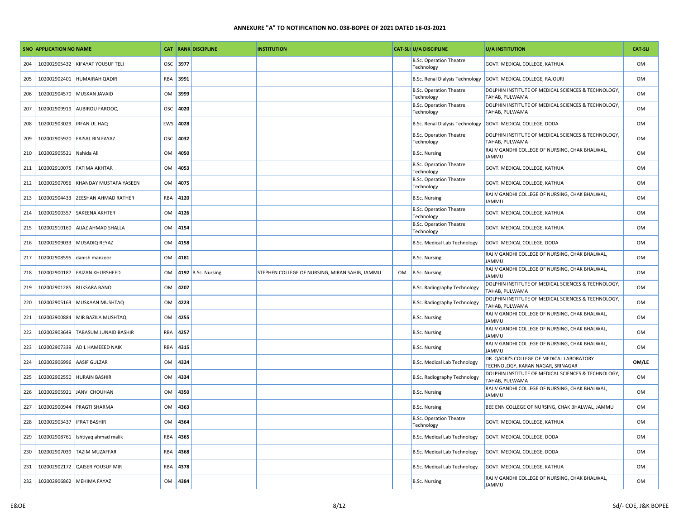|     | <b>SNO APPLICATION NO NAME</b> |                              |           |      | <b>CAT RANK DISCIPLINE</b> | <b>INSTITUTION</b>                             |    | <b>CAT-SLI U/A DISCIPLINE</b>                | U/A INSTITUTION                                                                | <b>CAT-SLI</b> |
|-----|--------------------------------|------------------------------|-----------|------|----------------------------|------------------------------------------------|----|----------------------------------------------|--------------------------------------------------------------------------------|----------------|
| 204 | 102002905432                   | <b>KIFAYAT YOUSUF TELI</b>   | OSC       | 3977 |                            |                                                |    | <b>B.Sc. Operation Theatre</b><br>Technology | GOVT. MEDICAL COLLEGE, KATHUA                                                  | <b>OM</b>      |
| 205 | 102002902401                   | <b>HUMAIRAH QADIR</b>        | RBA       | 3991 |                            |                                                |    | B.Sc. Renal Dialysis Technology              | GOVT. MEDICAL COLLEGE, RAJOURI                                                 | <b>OM</b>      |
| 206 | 102002904570                   | MUSKAN JAVAID                | OM        | 3999 |                            |                                                |    | <b>B.Sc. Operation Theatre</b><br>Technology | DOLPHIN INSTITUTE OF MEDICAL SCIENCES & TECHNOLOGY,<br><b>TAHAB, PULWAMA</b>   | <b>OM</b>      |
| 207 | 102002909919                   | <b>AUBIROU FAROOQ</b>        | OSC       | 4020 |                            |                                                |    | <b>B.Sc. Operation Theatre</b><br>Technology | DOLPHIN INSTITUTE OF MEDICAL SCIENCES & TECHNOLOGY,<br><b>TAHAB, PULWAMA</b>   | <b>OM</b>      |
| 208 | 102002903029                   | <b>IRFAN UL HAQ</b>          | EWS       | 4028 |                            |                                                |    | B.Sc. Renal Dialysis Technology              | GOVT. MEDICAL COLLEGE, DODA                                                    | <b>OM</b>      |
| 209 | 102002905920                   | <b>FAISAL BIN FAYAZ</b>      | OSC       | 4032 |                            |                                                |    | <b>B.Sc. Operation Theatre</b><br>Technology | DOLPHIN INSTITUTE OF MEDICAL SCIENCES & TECHNOLOGY,<br><b>TAHAB, PULWAMA</b>   | <b>OM</b>      |
| 210 | 102002905521                   | Nahida Ali                   | 0M        | 4050 |                            |                                                |    | <b>B.Sc. Nursing</b>                         | RAJIV GANDHI COLLEGE OF NURSING, CHAK BHALWAL,<br><b>JAMMU</b>                 | <b>OM</b>      |
| 211 | 102002910075                   | <b>FATIMA AKHTAR</b>         | <b>OM</b> | 4053 |                            |                                                |    | <b>B.Sc. Operation Theatre</b><br>Technology | GOVT. MEDICAL COLLEGE, KATHUA                                                  | <b>OM</b>      |
| 212 | 102002907056                   | KHANDAY MUSTAFA YASEEN       | OM        | 4075 |                            |                                                |    | <b>B.Sc. Operation Theatre</b><br>Technology | GOVT. MEDICAL COLLEGE, KATHUA                                                  | <b>OM</b>      |
| 213 | 102002904433                   | <b>ZEESHAN AHMAD RATHER</b>  | RBA       | 4120 |                            |                                                |    | <b>B.Sc. Nursing</b>                         | RAJIV GANDHI COLLEGE OF NURSING, CHAK BHALWAL,<br><b>JAMMU</b>                 | <b>OM</b>      |
| 214 | 102002900357                   | <b>SAKEENA AKHTER</b>        | OM        | 4126 |                            |                                                |    | <b>B.Sc. Operation Theatre</b><br>Technology | GOVT. MEDICAL COLLEGE, KATHUA                                                  | <b>OM</b>      |
| 215 | 102002910160                   | <b>AIJAZ AHMAD SHALLA</b>    | OM        | 4154 |                            |                                                |    | <b>B.Sc. Operation Theatre</b><br>Technology | GOVT. MEDICAL COLLEGE, KATHUA                                                  | <b>OM</b>      |
| 216 | 102002909033                   | MUSADIQ REYAZ                | OM        | 4158 |                            |                                                |    | <b>B.Sc. Medical Lab Technology</b>          | GOVT. MEDICAL COLLEGE, DODA                                                    | <b>OM</b>      |
| 217 | 102002908595                   | danish manzoor               | OM        | 4181 |                            |                                                |    | <b>B.Sc. Nursing</b>                         | RAJIV GANDHI COLLEGE OF NURSING, CHAK BHALWAL,<br><b>JAMMU</b>                 | 0 <sub>M</sub> |
| 218 | 102002900187                   | <b>FAIZAN KHURSHEED</b>      | OM        |      | 4192 B.Sc. Nursing         | STEPHEN COLLEGE OF NURSING, MIRAN SAHIB, JAMMU | OM | B.Sc. Nursing                                | RAJIV GANDHI COLLEGE OF NURSING, CHAK BHALWAL,<br><b>JAMMU</b>                 | <b>OM</b>      |
| 219 | 102002901285                   | <b>RUKSARA BANO</b>          | OM        | 4207 |                            |                                                |    | B.Sc. Radiography Technology                 | DOLPHIN INSTITUTE OF MEDICAL SCIENCES & TECHNOLOGY,<br>TAHAB, PULWAMA          | <b>OM</b>      |
| 220 | 102002905163                   | MUSKAAN MUSHTAQ              | OM        | 4223 |                            |                                                |    | B.Sc. Radiography Technology                 | DOLPHIN INSTITUTE OF MEDICAL SCIENCES & TECHNOLOGY,<br>TAHAB, PULWAMA          | <b>OM</b>      |
| 221 | 102002900884                   | MIR BAZILA MUSHTAQ           | OM        | 4255 |                            |                                                |    | <b>B.Sc. Nursing</b>                         | RAJIV GANDHI COLLEGE OF NURSING, CHAK BHALWAL,<br>JAMMU                        | <b>OM</b>      |
| 222 | 102002903649                   | <b>TABASUM JUNAID BASHIR</b> | RBA       | 4257 |                            |                                                |    | <b>B.Sc. Nursing</b>                         | RAJIV GANDHI COLLEGE OF NURSING, CHAK BHALWAL,<br>JAMMU                        | <b>OM</b>      |
| 223 | 102002907339                   | <b>ADIL HAMEEED NAIK</b>     | RBA       | 4315 |                            |                                                |    | <b>B.Sc. Nursing</b>                         | RAJIV GANDHI COLLEGE OF NURSING, CHAK BHALWAL,<br><b>JAMMU</b>                 | <b>OM</b>      |
| 224 | 102002906996                   | AASIF GULZAR                 | <b>OM</b> | 4324 |                            |                                                |    | B.Sc. Medical Lab Technology                 | DR. QADRI'S COLLEGE OF MEDICAL LABORATORY<br>TECHNOLOGY, KARAN NAGAR, SRINAGAR | OM/LE          |
| 225 | 102002902550                   | <b>HURAIN BASHIR</b>         | OM        | 4334 |                            |                                                |    | B.Sc. Radiography Technology                 | DOLPHIN INSTITUTE OF MEDICAL SCIENCES & TECHNOLOGY,<br>TAHAB, PULWAMA          | <b>OM</b>      |
| 226 | 102002905921                   | <b>JANVI CHOUHAN</b>         | OM        | 4350 |                            |                                                |    | <b>B.Sc. Nursing</b>                         | RAJIV GANDHI COLLEGE OF NURSING, CHAK BHALWAL,<br><b>JAMMU</b>                 | <b>OM</b>      |
| 227 | 102002900944                   | <b>PRAGTI SHARMA</b>         | OM        | 4363 |                            |                                                |    | <b>B.Sc. Nursing</b>                         | BEE ENN COLLEGE OF NURSING, CHAK BHALWAL, JAMMU                                | <b>OM</b>      |
| 228 | 102002903437                   | <b>IFRAT BASHIR</b>          | OM        | 4364 |                            |                                                |    | <b>B.Sc. Operation Theatre</b><br>Technology | GOVT. MEDICAL COLLEGE, KATHUA                                                  | <b>OM</b>      |
| 229 | 102002908761                   | Ishtiyaq ahmad malik         | RBA       | 4365 |                            |                                                |    | <b>B.Sc. Medical Lab Technology</b>          | GOVT. MEDICAL COLLEGE, DODA                                                    | <b>OM</b>      |
| 230 | 102002907039                   | <b>TAZIM MUZAFFAR</b>        | RBA       | 4368 |                            |                                                |    | B.Sc. Medical Lab Technology                 | GOVT. MEDICAL COLLEGE, DODA                                                    | <b>OM</b>      |
| 231 | 102002902172                   | <b>QAISER YOUSUF MIR</b>     | RBA       | 4378 |                            |                                                |    | <b>B.Sc. Medical Lab Technology</b>          | GOVT. MEDICAL COLLEGE, KATHUA                                                  | <b>OM</b>      |
| 232 |                                | 102002906862 MEHIMA FAYAZ    | <b>OM</b> | 4384 |                            |                                                |    | <b>B.Sc. Nursing</b>                         | RAJIV GANDHI COLLEGE OF NURSING, CHAK BHALWAL,<br><b>JAMMU</b>                 | <b>OM</b>      |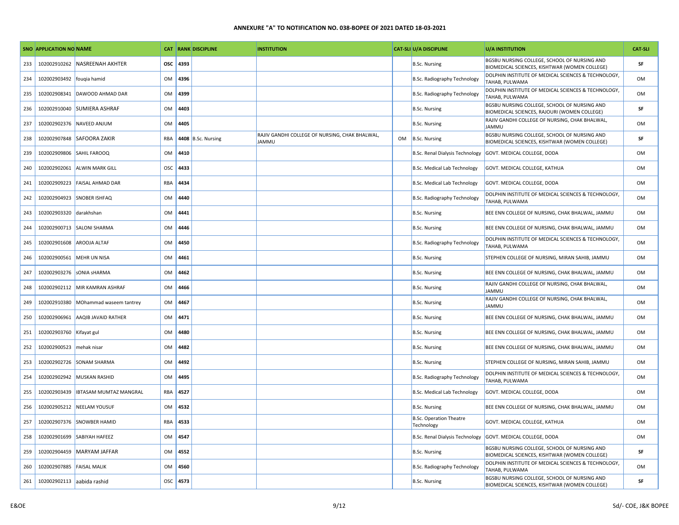|     | SNO APPLICATION NO NAME    |                                |           |      | <b>CAT RANK DISCIPLINE</b> | <b>INSTITUTION</b>                                             |    | <b>CAT-SLI U/A DISCIPLINE</b>                | <b>U/A INSTITUTION</b>                                                                        | <b>CAT-SLI</b> |
|-----|----------------------------|--------------------------------|-----------|------|----------------------------|----------------------------------------------------------------|----|----------------------------------------------|-----------------------------------------------------------------------------------------------|----------------|
| 233 | 102002910262               | <b>NASREENAH AKHTER</b>        | OSC       | 4393 |                            |                                                                |    | <b>B.Sc. Nursing</b>                         | BGSBU NURSING COLLEGE, SCHOOL OF NURSING AND<br>BIOMEDICAL SCIENCES, KISHTWAR (WOMEN COLLEGE) | SF             |
| 234 | 102002903492 fougia hamid  |                                | <b>OM</b> | 4396 |                            |                                                                |    | B.Sc. Radiography Technology                 | DOLPHIN INSTITUTE OF MEDICAL SCIENCES & TECHNOLOGY,<br>TAHAB, PULWAMA                         | <b>OM</b>      |
| 235 |                            | 102002908341 DAWOOD AHMAD DAR  | OM        | 4399 |                            |                                                                |    | B.Sc. Radiography Technology                 | DOLPHIN INSTITUTE OF MEDICAL SCIENCES & TECHNOLOGY,<br>TAHAB, PULWAMA                         | OM             |
| 236 |                            | 102002910040 SUMIERA ASHRAF    | OM        | 4403 |                            |                                                                |    | <b>B.Sc. Nursing</b>                         | BGSBU NURSING COLLEGE, SCHOOL OF NURSING AND<br>BIOMEDICAL SCIENCES, RAJOURI (WOMEN COLLEGE)  | SF             |
| 237 |                            | 102002902376 NAVEED ANJUM      | OM        | 4405 |                            |                                                                |    | <b>B.Sc. Nursing</b>                         | RAJIV GANDHI COLLEGE OF NURSING, CHAK BHALWAL,<br><b>JAMMU</b>                                | <b>OM</b>      |
| 238 |                            | 102002907848 SAFOORA ZAKIR     | RBA       |      | 4408 B.Sc. Nursing         | RAJIV GANDHI COLLEGE OF NURSING, CHAK BHALWAL,<br><b>JAMMU</b> | OM | B.Sc. Nursing                                | BGSBU NURSING COLLEGE, SCHOOL OF NURSING AND<br>BIOMEDICAL SCIENCES, KISHTWAR (WOMEN COLLEGE) | SF             |
| 239 | 102002909806 SAHIL FAROOQ  |                                | OM        | 4410 |                            |                                                                |    | B.Sc. Renal Dialysis Technology              | GOVT. MEDICAL COLLEGE, DODA                                                                   | <b>OM</b>      |
| 240 | 102002902061               | <b>ALWIN MARK GILL</b>         | OSC       | 4433 |                            |                                                                |    | <b>B.Sc. Medical Lab Technology</b>          | GOVT. MEDICAL COLLEGE, KATHUA                                                                 | OM             |
| 241 |                            | 102002909223 FAISAL AHMAD DAR  | RBA       | 4434 |                            |                                                                |    | <b>B.Sc. Medical Lab Technology</b>          | GOVT. MEDICAL COLLEGE, DODA                                                                   | OM             |
| 242 |                            | 102002904923 SNOBER ISHFAQ     | <b>OM</b> | 4440 |                            |                                                                |    | B.Sc. Radiography Technology                 | DOLPHIN INSTITUTE OF MEDICAL SCIENCES & TECHNOLOGY,<br>TAHAB, PULWAMA                         | OM             |
| 243 | 102002903320 darakhshan    |                                | OM        | 4441 |                            |                                                                |    | <b>B.Sc. Nursing</b>                         | BEE ENN COLLEGE OF NURSING, CHAK BHALWAL, JAMMU                                               | OM             |
| 244 |                            | 102002900713 SALONI SHARMA     | OM        | 4446 |                            |                                                                |    | <b>B.Sc. Nursing</b>                         | BEE ENN COLLEGE OF NURSING, CHAK BHALWAL, JAMMU                                               | OM             |
| 245 | 102002901608               | <b>AROOJA ALTAF</b>            | OM        | 4450 |                            |                                                                |    | B.Sc. Radiography Technology                 | DOLPHIN INSTITUTE OF MEDICAL SCIENCES & TECHNOLOGY,<br>TAHAB, PULWAMA                         | <b>OM</b>      |
| 246 | 102002900561               | MEHR UN NISA                   | OM        | 4461 |                            |                                                                |    | <b>B.Sc. Nursing</b>                         | STEPHEN COLLEGE OF NURSING, MIRAN SAHIB, JAMMU                                                | OM             |
| 247 | 102002903276 SONIA SHARMA  |                                | OM        | 4462 |                            |                                                                |    | <b>B.Sc. Nursing</b>                         | BEE ENN COLLEGE OF NURSING, CHAK BHALWAL, JAMMU                                               | OM             |
| 248 |                            | 102002902112 MIR KAMRAN ASHRAF | OM        | 4466 |                            |                                                                |    | <b>B.Sc. Nursing</b>                         | RAJIV GANDHI COLLEGE OF NURSING, CHAK BHALWAL,<br><b>JAMMU</b>                                | OM             |
| 249 | 102002910380               | MOhammad waseem tantrey        | OM        | 4467 |                            |                                                                |    | <b>B.Sc. Nursing</b>                         | RAJIV GANDHI COLLEGE OF NURSING, CHAK BHALWAL,<br><b>JAMMU</b>                                | OM             |
| 250 | 102002906961               | AAQIB JAVAID RATHER            | <b>OM</b> | 4471 |                            |                                                                |    | <b>B.Sc. Nursing</b>                         | BEE ENN COLLEGE OF NURSING, CHAK BHALWAL, JAMMU                                               | OM             |
| 251 | 102002903760 Kifayat gul   |                                | OM        | 4480 |                            |                                                                |    | <b>B.Sc. Nursing</b>                         | BEE ENN COLLEGE OF NURSING, CHAK BHALWAL, JAMMU                                               | OM             |
| 252 | 102002900523 mehak nisar   |                                | OM        | 4482 |                            |                                                                |    | <b>B.Sc. Nursing</b>                         | BEE ENN COLLEGE OF NURSING, CHAK BHALWAL, JAMMU                                               | OM             |
| 253 |                            | 102002902726 SONAM SHARMA      | <b>OM</b> | 4492 |                            |                                                                |    | <b>B.Sc. Nursing</b>                         | STEPHEN COLLEGE OF NURSING, MIRAN SAHIB, JAMMU                                                | OM             |
| 254 |                            | 102002902942 MUSKAN RASHID     | OM        | 4495 |                            |                                                                |    | B.Sc. Radiography Technology                 | DOLPHIN INSTITUTE OF MEDICAL SCIENCES & TECHNOLOGY,<br>TAHAB, PULWAMA                         | OM             |
| 255 | 102002903439               | <b>IBTASAM MUMTAZ MANGRAL</b>  | RBA       | 4527 |                            |                                                                |    | B.Sc. Medical Lab Technology                 | GOVT. MEDICAL COLLEGE, DODA                                                                   | <b>OM</b>      |
| 256 |                            | 102002905212 NEELAM YOUSUF     | OM        | 4532 |                            |                                                                |    | <b>B.Sc. Nursing</b>                         | BEE ENN COLLEGE OF NURSING, CHAK BHALWAL, JAMMU                                               | OM             |
| 257 |                            | 102002907376 SNOWBER HAMID     | RBA       | 4533 |                            |                                                                |    | <b>B.Sc. Operation Theatre</b><br>Technology | GOVT. MEDICAL COLLEGE, KATHUA                                                                 | OM             |
| 258 | 102002901699               | <b>SABIYAH HAFEEZ</b>          | <b>OM</b> | 4547 |                            |                                                                |    | B.Sc. Renal Dialysis Technology              | GOVT. MEDICAL COLLEGE, DODA                                                                   | OM             |
| 259 |                            | 102002904459   MARYAM JAFFAR   | OM        | 4552 |                            |                                                                |    | <b>B.Sc. Nursing</b>                         | BGSBU NURSING COLLEGE, SCHOOL OF NURSING AND<br>BIOMEDICAL SCIENCES, KISHTWAR (WOMEN COLLEGE) | SF             |
| 260 | 102002907885 FAISAL MALIK  |                                | OM        | 4560 |                            |                                                                |    | B.Sc. Radiography Technology                 | DOLPHIN INSTITUTE OF MEDICAL SCIENCES & TECHNOLOGY,<br>TAHAB, PULWAMA                         | OM             |
| 261 | 102002902113 aabida rashid |                                | OSC       | 4573 |                            |                                                                |    | B.Sc. Nursing                                | BGSBU NURSING COLLEGE, SCHOOL OF NURSING AND<br>BIOMEDICAL SCIENCES, KISHTWAR (WOMEN COLLEGE) | SF             |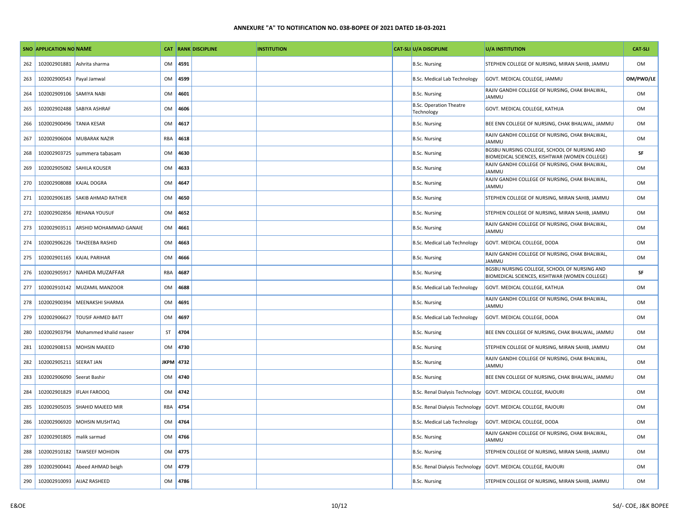|     | <b>SNO APPLICATION NO NAME</b> |                                |     |           | <b>CAT RANK DISCIPLINE</b> | <b>INSTITUTION</b> | <b>CAT-SLI U/A DISCIPLINE</b>                | U/A INSTITUTION                                                                               | <b>CAT-SLI</b> |
|-----|--------------------------------|--------------------------------|-----|-----------|----------------------------|--------------------|----------------------------------------------|-----------------------------------------------------------------------------------------------|----------------|
| 262 | 102002901881                   | Ashrita sharma                 | OM  | 4591      |                            |                    | <b>B.Sc. Nursing</b>                         | STEPHEN COLLEGE OF NURSING, MIRAN SAHIB, JAMMU                                                | <b>OM</b>      |
| 263 | 102002900543 Payal Jamwal      |                                | OM  | 4599      |                            |                    | B.Sc. Medical Lab Technology                 | GOVT. MEDICAL COLLEGE, JAMMU                                                                  | OM/PWD/LE      |
| 264 | 102002909106 SAMIYA NABI       |                                | OM  | 4601      |                            |                    | <b>B.Sc. Nursing</b>                         | RAJIV GANDHI COLLEGE OF NURSING, CHAK BHALWAL,<br><b>JAMMU</b>                                | <b>OM</b>      |
| 265 | 102002902488                   | <b>SABIYA ASHRAF</b>           | OM  | 4606      |                            |                    | <b>B.Sc. Operation Theatre</b><br>Technology | GOVT. MEDICAL COLLEGE, KATHUA                                                                 | <b>OM</b>      |
| 266 | 102002900496 TANIA KESAR       |                                | OM  | 4617      |                            |                    | <b>B.Sc. Nursing</b>                         | BEE ENN COLLEGE OF NURSING, CHAK BHALWAL, JAMMU                                               | <b>OM</b>      |
| 267 | 102002906004                   | <b>MUBARAK NAZIR</b>           | RBA | 4618      |                            |                    | <b>B.Sc. Nursing</b>                         | RAJIV GANDHI COLLEGE OF NURSING, CHAK BHALWAL,<br><b>JAMMU</b>                                | OM             |
| 268 |                                | 102002903725   summera tabasam | OM  | 4630      |                            |                    | <b>B.Sc. Nursing</b>                         | BGSBU NURSING COLLEGE, SCHOOL OF NURSING AND<br>BIOMEDICAL SCIENCES, KISHTWAR (WOMEN COLLEGE) | SF             |
| 269 | 102002905082                   | <b>SAHILA KOUSER</b>           | OM  | 4633      |                            |                    | <b>B.Sc. Nursing</b>                         | RAJIV GANDHI COLLEGE OF NURSING, CHAK BHALWAL,<br><b>JAMMU</b>                                | <b>OM</b>      |
| 270 | 102002908088 KAJAL DOGRA       |                                | OM  | 4647      |                            |                    | <b>B.Sc. Nursing</b>                         | RAJIV GANDHI COLLEGE OF NURSING, CHAK BHALWAL,<br>JAMMU                                       | <b>OM</b>      |
| 271 | 102002906185                   | <b>SAKIB AHMAD RATHER</b>      | OM  | 4650      |                            |                    | <b>B.Sc. Nursing</b>                         | STEPHEN COLLEGE OF NURSING, MIRAN SAHIB, JAMMU                                                | <b>OM</b>      |
| 272 | 102002902856                   | <b>REHANA YOUSUF</b>           | OM  | 4652      |                            |                    | <b>B.Sc. Nursing</b>                         | STEPHEN COLLEGE OF NURSING, MIRAN SAHIB, JAMMU                                                | <b>OM</b>      |
| 273 | 102002903511                   | ARSHID MOHAMMAD GANAIE         | OM  | 4661      |                            |                    | <b>B.Sc. Nursing</b>                         | RAJIV GANDHI COLLEGE OF NURSING, CHAK BHALWAL,<br><b>JAMMU</b>                                | <b>OM</b>      |
| 274 | 102002906226                   | <b>TAHZEEBA RASHID</b>         | OM  | 4663      |                            |                    | <b>B.Sc. Medical Lab Technology</b>          | GOVT. MEDICAL COLLEGE, DODA                                                                   | <b>OM</b>      |
| 275 |                                | 102002901165 KAJAL PARIHAR     | OM  | 4666      |                            |                    | <b>B.Sc. Nursing</b>                         | RAJIV GANDHI COLLEGE OF NURSING, CHAK BHALWAL,<br><b>JAMMU</b>                                | <b>OM</b>      |
| 276 | 102002905917                   | NAHIDA MUZAFFAR                | RBA | 4687      |                            |                    | <b>B.Sc. Nursing</b>                         | BGSBU NURSING COLLEGE, SCHOOL OF NURSING AND<br>BIOMEDICAL SCIENCES, KISHTWAR (WOMEN COLLEGE) | SF             |
| 277 | 102002910142                   | MUZAMIL MANZOOR                | OM  | 4688      |                            |                    | <b>B.Sc. Medical Lab Technology</b>          | GOVT. MEDICAL COLLEGE, KATHUA                                                                 | <b>OM</b>      |
| 278 | 102002900394                   | MEENAKSHI SHARMA               | OM  | 4691      |                            |                    | <b>B.Sc. Nursing</b>                         | RAJIV GANDHI COLLEGE OF NURSING, CHAK BHALWAL,<br><b>JAMMU</b>                                | <b>OM</b>      |
| 279 | 102002906627                   | <b>TOUSIF AHMED BATT</b>       | OM  | 4697      |                            |                    | <b>B.Sc. Medical Lab Technology</b>          | GOVT. MEDICAL COLLEGE, DODA                                                                   | <b>OM</b>      |
| 280 | 102002903794                   | Mohammed khalid naseer         | ST  | 4704      |                            |                    | <b>B.Sc. Nursing</b>                         | BEE ENN COLLEGE OF NURSING, CHAK BHALWAL, JAMMU                                               | <b>OM</b>      |
| 281 | 102002908153                   | MOHSIN MAJEED                  | OM  | 4730      |                            |                    | <b>B.Sc. Nursing</b>                         | STEPHEN COLLEGE OF NURSING, MIRAN SAHIB, JAMMU                                                | <b>OM</b>      |
| 282 | 102002905211 SEERAT JAN        |                                |     | JKPM 4732 |                            |                    | <b>B.Sc. Nursing</b>                         | RAJIV GANDHI COLLEGE OF NURSING, CHAK BHALWAL,<br><b>JAMMU</b>                                | <b>OM</b>      |
| 283 | 102002906090 Seerat Bashir     |                                | OM  | 4740      |                            |                    | <b>B.Sc. Nursing</b>                         | BEE ENN COLLEGE OF NURSING, CHAK BHALWAL, JAMMU                                               | <b>OM</b>      |
| 284 | 102002901829   IFLAH FAROOQ    |                                | OM  | 4742      |                            |                    | B.Sc. Renal Dialysis Technology              | GOVT. MEDICAL COLLEGE, RAJOURI                                                                | <b>OM</b>      |
| 285 | 102002905035                   | <b>SHAHID MAJEED MIR</b>       | RBA | 4754      |                            |                    | B.Sc. Renal Dialysis Technology              | GOVT. MEDICAL COLLEGE, RAJOURI                                                                | <b>OM</b>      |
| 286 | 102002906920                   | MOHSIN MUSHTAQ                 | OM  | 4764      |                            |                    | <b>B.Sc. Medical Lab Technology</b>          | GOVT. MEDICAL COLLEGE, DODA                                                                   | <b>OM</b>      |
| 287 | 102002901805                   | malik sarmad                   | OM  | 4766      |                            |                    | <b>B.Sc. Nursing</b>                         | RAJIV GANDHI COLLEGE OF NURSING, CHAK BHALWAL,<br><b>JAMMU</b>                                | OM             |
| 288 | 102002910182                   | <b>TAWSEEF MOHIDIN</b>         | OM  | 4775      |                            |                    | <b>B.Sc. Nursing</b>                         | STEPHEN COLLEGE OF NURSING, MIRAN SAHIB, JAMMU                                                | <b>OM</b>      |
| 289 |                                | 102002900441 Abeed AHMAD beigh | OM  | 4779      |                            |                    |                                              | B.Sc. Renal Dialysis Technology GOVT. MEDICAL COLLEGE, RAJOURI                                | <b>OM</b>      |
| 290 | 102002910093 AIJAZ RASHEED     |                                | OM  | 4786      |                            |                    | <b>B.Sc. Nursing</b>                         | STEPHEN COLLEGE OF NURSING, MIRAN SAHIB, JAMMU                                                | <b>OM</b>      |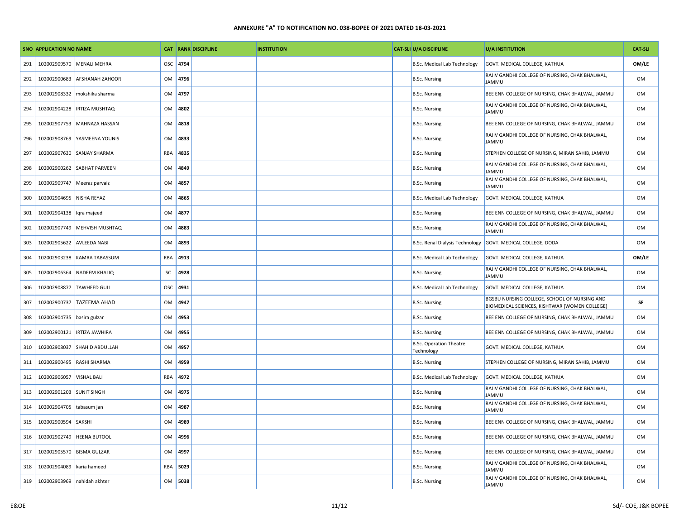|     | <b>SNO APPLICATION NO NAME</b> |                        |            |      | <b>CAT RANK DISCIPLINE</b> | <b>INSTITUTION</b> | <b>CAT-SLI U/A DISCIPLINE</b>                | <b>U/A INSTITUTION</b>                                                                        | <b>CAT-SLI</b> |
|-----|--------------------------------|------------------------|------------|------|----------------------------|--------------------|----------------------------------------------|-----------------------------------------------------------------------------------------------|----------------|
| 291 | 102002909570                   | <b>MENALI MEHRA</b>    | <b>OSC</b> | 4794 |                            |                    | <b>B.Sc. Medical Lab Technology</b>          | GOVT. MEDICAL COLLEGE, KATHUA                                                                 | OM/LE          |
| 292 | 102002900683                   | <b>AFSHANAH ZAHOOR</b> | OM         | 4796 |                            |                    | <b>B.Sc. Nursing</b>                         | RAJIV GANDHI COLLEGE OF NURSING, CHAK BHALWAL,<br><b>JAMMU</b>                                | OM             |
| 293 | 102002908332                   | mokshika sharma        | OM         | 4797 |                            |                    | <b>B.Sc. Nursing</b>                         | BEE ENN COLLEGE OF NURSING, CHAK BHALWAL, JAMMU                                               | <b>OM</b>      |
| 294 | 102002904228                   | <b>IRTIZA MUSHTAQ</b>  | OM         | 4802 |                            |                    | <b>B.Sc. Nursing</b>                         | RAJIV GANDHI COLLEGE OF NURSING, CHAK BHALWAL,<br><b>JAMMU</b>                                | <b>OM</b>      |
| 295 | 102002907753                   | MAHNAZA HASSAN         | OM         | 4818 |                            |                    | <b>B.Sc. Nursing</b>                         | BEE ENN COLLEGE OF NURSING, CHAK BHALWAL, JAMMU                                               | OM             |
| 296 | 102002908769                   | YASMEENA YOUNIS        | <b>OM</b>  | 4833 |                            |                    | <b>B.Sc. Nursing</b>                         | RAJIV GANDHI COLLEGE OF NURSING, CHAK BHALWAL,<br><b>JAMMU</b>                                | OM             |
| 297 | 102002907630                   | <b>SANJAY SHARMA</b>   | RBA        | 4835 |                            |                    | <b>B.Sc. Nursing</b>                         | STEPHEN COLLEGE OF NURSING, MIRAN SAHIB, JAMMU                                                | OM             |
| 298 | 102002900262                   | <b>SABHAT PARVEEN</b>  | <b>OM</b>  | 4849 |                            |                    | <b>B.Sc. Nursing</b>                         | RAJIV GANDHI COLLEGE OF NURSING, CHAK BHALWAL,<br><b>JAMMU</b>                                | OM             |
| 299 | 102002909747                   | Meeraz parvaiz         | OM         | 4857 |                            |                    | <b>B.Sc. Nursing</b>                         | RAJIV GANDHI COLLEGE OF NURSING, CHAK BHALWAL,<br><b>JAMMU</b>                                | OM             |
| 300 | 102002904695                   | <b>NISHA REYAZ</b>     | <b>OM</b>  | 4865 |                            |                    | <b>B.Sc. Medical Lab Technology</b>          | GOVT. MEDICAL COLLEGE, KATHUA                                                                 | OM             |
| 301 | 102002904138                   | Iqra majeed            | OM         | 4877 |                            |                    | <b>B.Sc. Nursing</b>                         | BEE ENN COLLEGE OF NURSING, CHAK BHALWAL, JAMMU                                               | OM             |
| 302 | 102002907749                   | <b>MEHVISH MUSHTAQ</b> | OM         | 4883 |                            |                    | <b>B.Sc. Nursing</b>                         | RAJIV GANDHI COLLEGE OF NURSING, CHAK BHALWAL,<br><b>JAMMU</b>                                | OM             |
| 303 | 102002905622                   | <b>AVLEEDA NABI</b>    | OM         | 4893 |                            |                    | <b>B.Sc. Renal Dialysis Technology</b>       | GOVT. MEDICAL COLLEGE, DODA                                                                   | OM             |
| 304 | 102002903238                   | KAMRA TABASSUM         | RBA        | 4913 |                            |                    | B.Sc. Medical Lab Technology                 | GOVT. MEDICAL COLLEGE, KATHUA                                                                 | OM/LE          |
| 305 | 102002906364                   | <b>NADEEM KHALIQ</b>   | SC         | 4928 |                            |                    | <b>B.Sc. Nursing</b>                         | RAJIV GANDHI COLLEGE OF NURSING, CHAK BHALWAL,<br><b>JAMMU</b>                                | <b>OM</b>      |
| 306 | 102002908877                   | <b>TAWHEED GULL</b>    | OSC        | 4931 |                            |                    | B.Sc. Medical Lab Technology                 | GOVT. MEDICAL COLLEGE, KATHUA                                                                 | OM             |
| 307 | 102002900737                   | <b>TAZEEMA AHAD</b>    | OM         | 4947 |                            |                    | <b>B.Sc. Nursing</b>                         | BGSBU NURSING COLLEGE, SCHOOL OF NURSING AND<br>BIOMEDICAL SCIENCES, KISHTWAR (WOMEN COLLEGE) | SF             |
| 308 | 102002904735                   | basira gulzar          | OM         | 4953 |                            |                    | <b>B.Sc. Nursing</b>                         | BEE ENN COLLEGE OF NURSING, CHAK BHALWAL, JAMMU                                               | OM             |
| 309 | 102002900121                   | <b>IRTIZA JAWHIRA</b>  | OM         | 4955 |                            |                    | <b>B.Sc. Nursing</b>                         | BEE ENN COLLEGE OF NURSING, CHAK BHALWAL, JAMMU                                               | OM             |
| 310 | 102002908037                   | SHAHID ABDULLAH        | OM         | 4957 |                            |                    | <b>B.Sc. Operation Theatre</b><br>Technology | GOVT. MEDICAL COLLEGE, KATHUA                                                                 | OM             |
| 311 | 102002900495                   | RASHI SHARMA           | <b>OM</b>  | 4959 |                            |                    | <b>B.Sc. Nursing</b>                         | STEPHEN COLLEGE OF NURSING, MIRAN SAHIB, JAMMU                                                | OM             |
| 312 | 102002906057                   | <b>VISHAL BALI</b>     | <b>RBA</b> | 4972 |                            |                    | B.Sc. Medical Lab Technology                 | GOVT. MEDICAL COLLEGE, KATHUA                                                                 | OM             |
| 313 | 102002901203                   | <b>SUNIT SINGH</b>     | OM         | 4975 |                            |                    | <b>B.Sc. Nursing</b>                         | RAJIV GANDHI COLLEGE OF NURSING, CHAK BHALWAL,<br><b>JAMMU</b>                                | <b>OM</b>      |
| 314 | 102002904705                   | tabasum jan            | OM         | 4987 |                            |                    | <b>B.Sc. Nursing</b>                         | RAJIV GANDHI COLLEGE OF NURSING, CHAK BHALWAL,<br><b>JAMMU</b>                                | OM             |
| 315 | 102002900594                   | SAKSHI                 | OM         | 4989 |                            |                    | <b>B.Sc. Nursing</b>                         | BEE ENN COLLEGE OF NURSING, CHAK BHALWAL, JAMMU                                               | OM             |
| 316 | 102002902749                   | <b>HEENA BUTOOL</b>    | <b>OM</b>  | 4996 |                            |                    | <b>B.Sc. Nursing</b>                         | BEE ENN COLLEGE OF NURSING, CHAK BHALWAL, JAMMU                                               | <b>OM</b>      |
| 317 | 102002905570                   | <b>BISMA GULZAR</b>    | OM         | 4997 |                            |                    | <b>B.Sc. Nursing</b>                         | BEE ENN COLLEGE OF NURSING, CHAK BHALWAL, JAMMU                                               | OM             |
| 318 | 102002904089                   | karia hameed           | RBA        | 5029 |                            |                    | <b>B.Sc. Nursing</b>                         | RAJIV GANDHI COLLEGE OF NURSING, CHAK BHALWAL,<br>JAMMU                                       | <b>OM</b>      |
| 319 | 102002903969                   | nahidah akhter         | OM         | 5038 |                            |                    | <b>B.Sc. Nursing</b>                         | RAJIV GANDHI COLLEGE OF NURSING, CHAK BHALWAL,<br><b>JAMMU</b>                                | OM             |